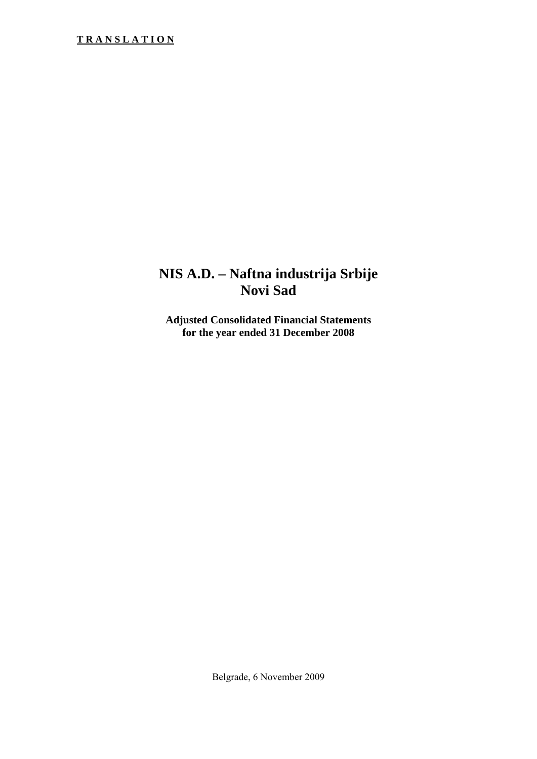# **NIS A.D. – Naftna industrija Srbije Novi Sad**

**Adjusted Consolidated Financial Statements for the year ended 31 December 2008** 

Belgrade, 6 November 2009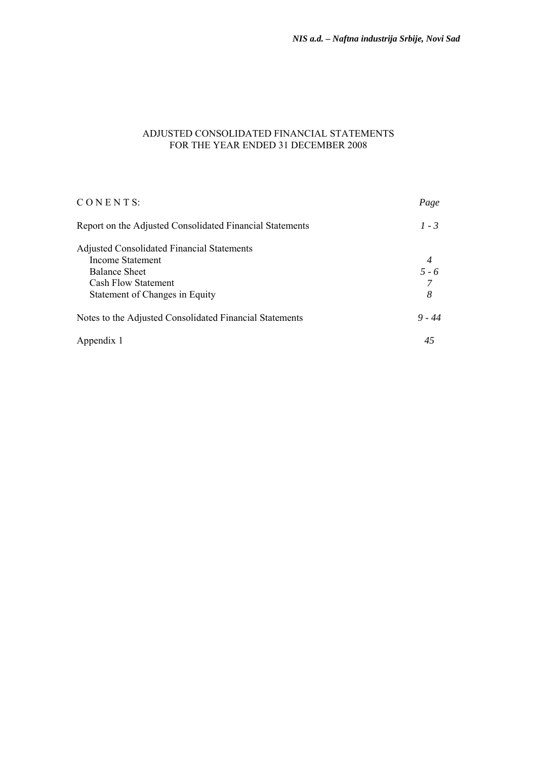## ADJUSTED CONSOLIDATED FINANCIAL STATEMENTS FOR THE YEAR ENDED 31 DECEMBER 2008

| CONENTS:                                                 | Page     |
|----------------------------------------------------------|----------|
| Report on the Adjusted Consolidated Financial Statements | $1 - 3$  |
| <b>Adjusted Consolidated Financial Statements</b>        |          |
| Income Statement                                         | 4        |
| <b>Balance Sheet</b>                                     | $5 - 6$  |
| Cash Flow Statement                                      | 7        |
| Statement of Changes in Equity                           | 8        |
| Notes to the Adjusted Consolidated Financial Statements  | $9 - 44$ |
| Appendix 1                                               | 45       |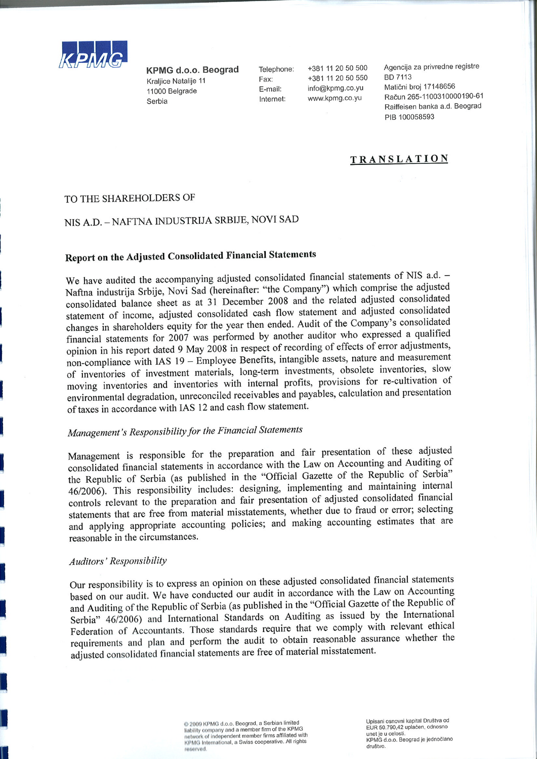

KPMG d.o.o. Beograd Kraliice Natalije 11 11000 Belgrade Serbia

Telephone: Fax: E-mail: Internet:

+381 11 20 50 500 +381 11 20 50 550 info@kpmg.co.yu www.kpmg.co.yu

Agencija za privredne registre **BD 7113** Matični broj 17148656 Račun 265-1100310000190-61 Raiffeisen banka a.d. Beograd PIB 100058593

# **TRANSLATION**

#### TO THE SHAREHOLDERS OF

# NIS A.D. - NAFTNA INDUSTRIJA SRBIJE, NOVI SAD

# **Report on the Adjusted Consolidated Financial Statements**

We have audited the accompanying adjusted consolidated financial statements of NIS a.d. -Naftna industrija Srbije, Novi Sad (hereinafter: "the Company") which comprise the adjusted consolidated balance sheet as at 31 December 2008 and the related adjusted consolidated statement of income, adjusted consolidated cash flow statement and adjusted consolidated changes in shareholders equity for the year then ended. Audit of the Company's consolidated financial statements for 2007 was performed by another auditor who expressed a qualified opinion in his report dated 9 May 2008 in respect of recording of effects of error adjustments, non-compliance with IAS 19 - Employee Benefits, intangible assets, nature and measurement of inventories of investment materials, long-term investments, obsolete inventories, slow moving inventories and inventories with internal profits, provisions for re-cultivation of environmental degradation, unreconciled receivables and payables, calculation and presentation of taxes in accordance with IAS 12 and cash flow statement.

# Management's Responsibility for the Financial Statements

Management is responsible for the preparation and fair presentation of these adjusted consolidated financial statements in accordance with the Law on Accounting and Auditing of the Republic of Serbia (as published in the "Official Gazette of the Republic of Serbia" 46/2006). This responsibility includes: designing, implementing and maintaining internal controls relevant to the preparation and fair presentation of adjusted consolidated financial statements that are free from material misstatements, whether due to fraud or error; selecting and applying appropriate accounting policies; and making accounting estimates that are reasonable in the circumstances.

#### **Auditors' Responsibility**

Our responsibility is to express an opinion on these adjusted consolidated financial statements based on our audit. We have conducted our audit in accordance with the Law on Accounting and Auditing of the Republic of Serbia (as published in the "Official Gazette of the Republic of Serbia" 46/2006) and International Standards on Auditing as issued by the International Federation of Accountants. Those standards require that we comply with relevant ethical requirements and plan and perform the audit to obtain reasonable assurance whether the adjusted consolidated financial statements are free of material misstatement.

> Corollack 2009 KPMG d.o.o. Beograd, a Serbian limited<br>liability company and a member firm of the KPMG network of independent member firms affiliated with<br>KPMG International, a Swiss cooperative. All rights reserved

Unisani osnovni kapital Društva od EUR 50.790,42 uplaćen, odnosno unet je u celosti. KPMG d.o.o. Beograd je jednočlano društvo.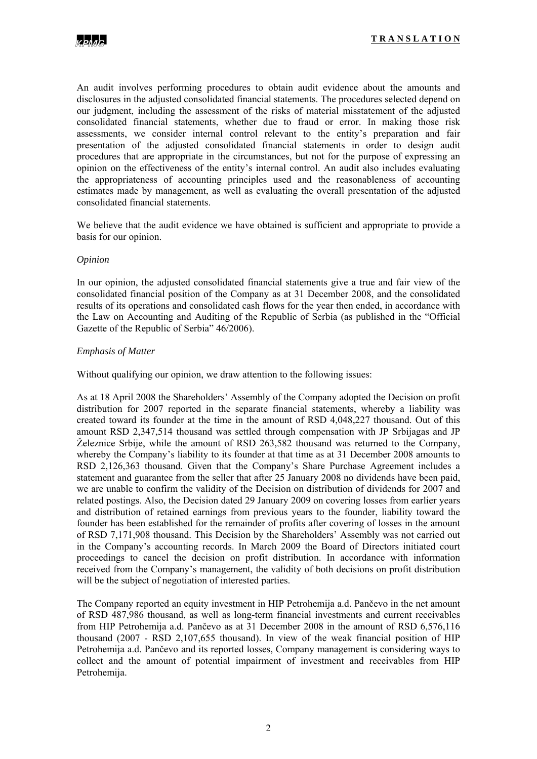An audit involves performing procedures to obtain audit evidence about the amounts and disclosures in the adjusted consolidated financial statements. The procedures selected depend on our judgment, including the assessment of the risks of material misstatement of the adjusted consolidated financial statements, whether due to fraud or error. In making those risk assessments, we consider internal control relevant to the entity's preparation and fair presentation of the adjusted consolidated financial statements in order to design audit procedures that are appropriate in the circumstances, but not for the purpose of expressing an opinion on the effectiveness of the entity's internal control. An audit also includes evaluating the appropriateness of accounting principles used and the reasonableness of accounting estimates made by management, as well as evaluating the overall presentation of the adjusted consolidated financial statements.

We believe that the audit evidence we have obtained is sufficient and appropriate to provide a basis for our opinion.

#### *Opinion*

In our opinion, the adjusted consolidated financial statements give a true and fair view of the consolidated financial position of the Company as at 31 December 2008, and the consolidated results of its operations and consolidated cash flows for the year then ended, in accordance with the Law on Accounting and Auditing of the Republic of Serbia (as published in the "Official Gazette of the Republic of Serbia" 46/2006).

#### *Emphasis of Matter*

Without qualifying our opinion, we draw attention to the following issues:

As at 18 April 2008 the Shareholders' Assembly of the Company adopted the Decision on profit distribution for 2007 reported in the separate financial statements, whereby a liability was created toward its founder at the time in the amount of RSD 4,048,227 thousand. Out of this amount RSD 2,347,514 thousand was settled through compensation with JP Srbijagas and JP Železnice Srbije, while the amount of RSD 263,582 thousand was returned to the Company, whereby the Company's liability to its founder at that time as at 31 December 2008 amounts to RSD 2,126,363 thousand. Given that the Company's Share Purchase Agreement includes a statement and guarantee from the seller that after 25 January 2008 no dividends have been paid, we are unable to confirm the validity of the Decision on distribution of dividends for 2007 and related postings. Also, the Decision dated 29 January 2009 on covering losses from earlier years and distribution of retained earnings from previous years to the founder, liability toward the founder has been established for the remainder of profits after covering of losses in the amount of RSD 7,171,908 thousand. This Decision by the Shareholders' Assembly was not carried out in the Company's accounting records. In March 2009 the Board of Directors initiated court proceedings to cancel the decision on profit distribution. In accordance with information received from the Company's management, the validity of both decisions on profit distribution will be the subject of negotiation of interested parties.

The Company reported an equity investment in HIP Petrohemija a.d. Pančevo in the net amount of RSD 487,986 thousand, as well as long-term financial investments and current receivables from HIP Petrohemija a.d. Pančevo as at 31 December 2008 in the amount of RSD 6,576,116 thousand (2007 - RSD 2,107,655 thousand). In view of the weak financial position of HIP Petrohemija a.d. Pančevo and its reported losses, Company management is considering ways to collect and the amount of potential impairment of investment and receivables from HIP Petrohemija.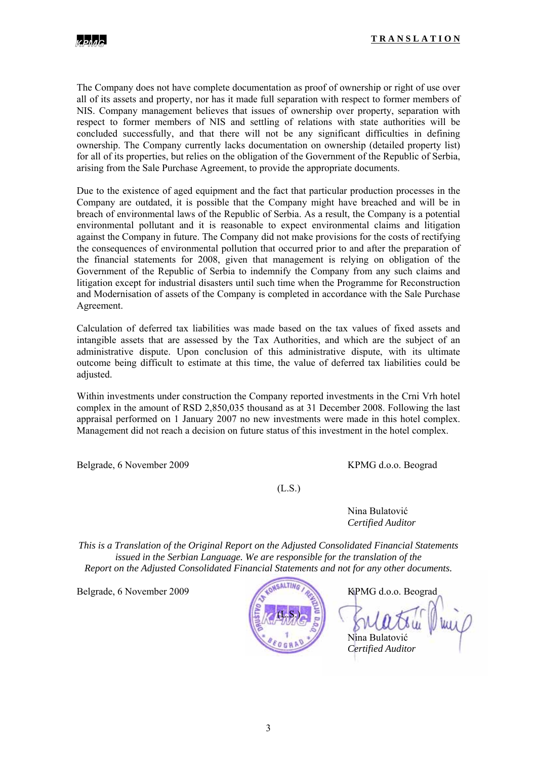

The Company does not have complete documentation as proof of ownership or right of use over all of its assets and property, nor has it made full separation with respect to former members of NIS. Company management believes that issues of ownership over property, separation with respect to former members of NIS and settling of relations with state authorities will be concluded successfully, and that there will not be any significant difficulties in defining ownership. The Company currently lacks documentation on ownership (detailed property list) for all of its properties, but relies on the obligation of the Government of the Republic of Serbia, arising from the Sale Purchase Agreement, to provide the appropriate documents.

Due to the existence of aged equipment and the fact that particular production processes in the Company are outdated, it is possible that the Company might have breached and will be in breach of environmental laws of the Republic of Serbia. As a result, the Company is a potential environmental pollutant and it is reasonable to expect environmental claims and litigation against the Company in future. The Company did not make provisions for the costs of rectifying the consequences of environmental pollution that occurred prior to and after the preparation of the financial statements for 2008, given that management is relying on obligation of the Government of the Republic of Serbia to indemnify the Company from any such claims and litigation except for industrial disasters until such time when the Programme for Reconstruction and Modernisation of assets of the Company is completed in accordance with the Sale Purchase Agreement.

Calculation of deferred tax liabilities was made based on the tax values of fixed assets and intangible assets that are assessed by the Tax Authorities, and which are the subject of an administrative dispute. Upon conclusion of this administrative dispute, with its ultimate outcome being difficult to estimate at this time, the value of deferred tax liabilities could be adjusted.

Within investments under construction the Company reported investments in the Crni Vrh hotel complex in the amount of RSD 2,850,035 thousand as at 31 December 2008. Following the last appraisal performed on 1 January 2007 no new investments were made in this hotel complex. Management did not reach a decision on future status of this investment in the hotel complex.

Belgrade, 6 November 2009 KPMG d.o.o. Beograd

(L.S.)

 Nina Bulatović *Certified Auditor* 

*This is a Translation of the Original Report on the Adjusted Consolidated Financial Statements issued in the Serbian Language. We are responsible for the translation of the Report on the Adjusted Consolidated Financial Statements and not for any other documents.* 

Belgrade, 6 November 2009 KPMG d.o.o. Beograd



 Nina Bulatović *Certified Auditor*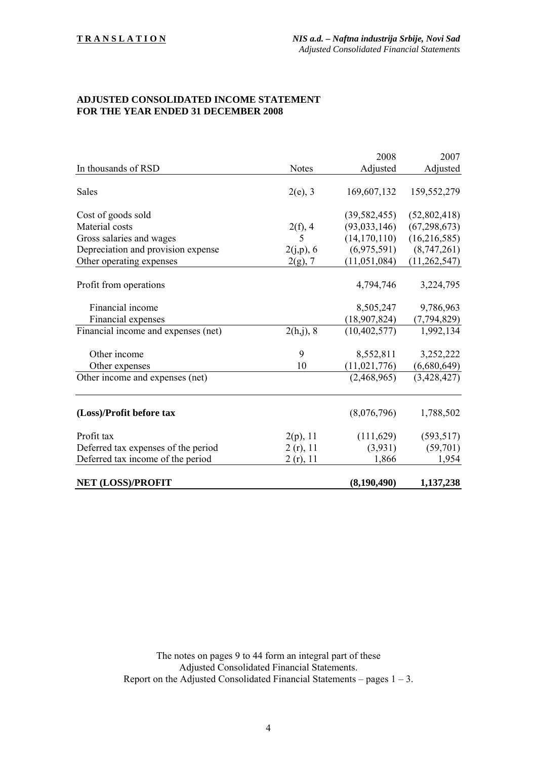#### **ADJUSTED CONSOLIDATED INCOME STATEMENT FOR THE YEAR ENDED 31 DECEMBER 2008**

|                                     |              | 2008           | 2007           |
|-------------------------------------|--------------|----------------|----------------|
| In thousands of RSD                 | <b>Notes</b> | Adjusted       | Adjusted       |
|                                     |              |                |                |
| Sales                               | $2(e)$ , 3   | 169,607,132    | 159,552,279    |
|                                     |              |                |                |
| Cost of goods sold                  |              | (39, 582, 455) | (52,802,418)   |
| Material costs                      | 2(f), 4      | (93, 033, 146) | (67, 298, 673) |
| Gross salaries and wages            | 5            | (14, 170, 110) | (16,216,585)   |
| Depreciation and provision expense  | 2(j,p), 6    | (6,975,591)    | (8,747,261)    |
| Other operating expenses            | $2(g)$ , 7   | (11,051,084)   | (11,262,547)   |
|                                     |              |                |                |
| Profit from operations              |              | 4,794,746      | 3,224,795      |
|                                     |              |                |                |
| Financial income                    |              | 8,505,247      | 9,786,963      |
| Financial expenses                  |              | (18, 907, 824) | (7, 794, 829)  |
| Financial income and expenses (net) | 2(h,j), 8    | (10, 402, 577) | 1,992,134      |
|                                     |              |                |                |
| Other income                        | 9            | 8,552,811      | 3,252,222      |
| Other expenses                      | 10           | (11, 021, 776) | (6,680,649)    |
| Other income and expenses (net)     |              | (2,468,965)    | (3,428,427)    |
|                                     |              |                |                |
|                                     |              |                |                |
| (Loss)/Profit before tax            |              | (8,076,796)    | 1,788,502      |
| Profit tax                          | 2(p), 11     | (111,629)      | (593, 517)     |
| Deferred tax expenses of the period | 2(r), 11     | (3,931)        | (59,701)       |
| Deferred tax income of the period   | 2(r), 11     | 1,866          | 1,954          |
|                                     |              |                |                |
| <b>NET (LOSS)/PROFIT</b>            |              | (8,190,490)    | 1,137,238      |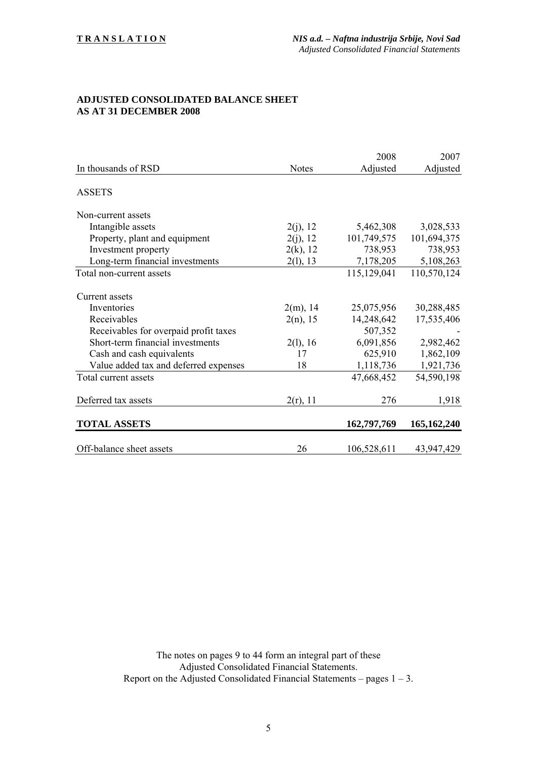#### **ADJUSTED CONSOLIDATED BALANCE SHEET AS AT 31 DECEMBER 2008**

|                                                                                                                                                                                                 |                                                    | 2008                                                                     | 2007                                                            |
|-------------------------------------------------------------------------------------------------------------------------------------------------------------------------------------------------|----------------------------------------------------|--------------------------------------------------------------------------|-----------------------------------------------------------------|
| In thousands of RSD                                                                                                                                                                             | <b>Notes</b>                                       | Adjusted                                                                 | Adjusted                                                        |
| <b>ASSETS</b>                                                                                                                                                                                   |                                                    |                                                                          |                                                                 |
| Non-current assets                                                                                                                                                                              |                                                    |                                                                          |                                                                 |
| Intangible assets                                                                                                                                                                               | 2(j), 12                                           | 5,462,308                                                                | 3,028,533                                                       |
| Property, plant and equipment                                                                                                                                                                   | 2(j), 12                                           | 101,749,575                                                              | 101,694,375                                                     |
| Investment property                                                                                                                                                                             | $2(k)$ , 12                                        | 738,953                                                                  | 738,953                                                         |
| Long-term financial investments                                                                                                                                                                 | 2(l), 13                                           | 7,178,205                                                                | 5,108,263                                                       |
| Total non-current assets                                                                                                                                                                        |                                                    | 115,129,041                                                              | 110,570,124                                                     |
| Current assets<br>Inventories<br>Receivables<br>Receivables for overpaid profit taxes<br>Short-term financial investments<br>Cash and cash equivalents<br>Value added tax and deferred expenses | $2(m)$ , 14<br>$2(n)$ , 15<br>2(l), 16<br>17<br>18 | 25,075,956<br>14,248,642<br>507,352<br>6,091,856<br>625,910<br>1,118,736 | 30,288,485<br>17,535,406<br>2,982,462<br>1,862,109<br>1,921,736 |
| Total current assets                                                                                                                                                                            |                                                    | 47,668,452                                                               | 54,590,198                                                      |
| Deferred tax assets<br><b>TOTAL ASSETS</b>                                                                                                                                                      | $2(r)$ , 11                                        | 276<br>162,797,769                                                       | 1,918<br>165, 162, 240                                          |
| Off-balance sheet assets                                                                                                                                                                        | 26                                                 | 106,528,611                                                              | 43,947,429                                                      |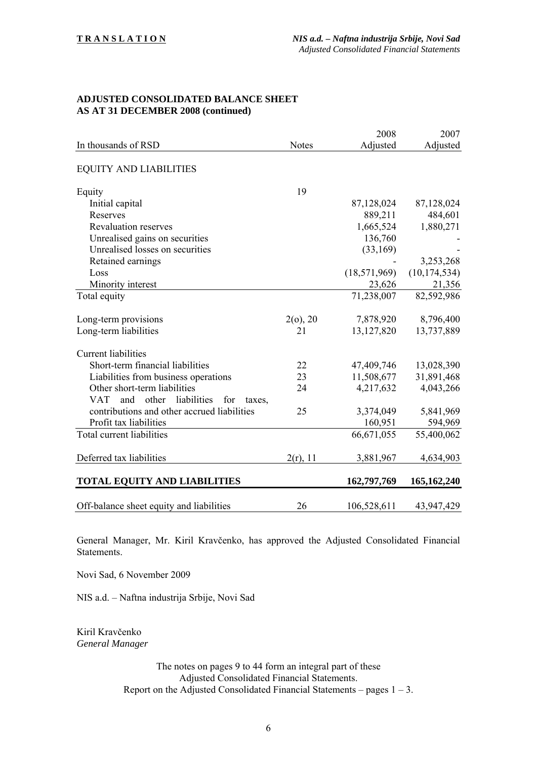#### **ADJUSTED CONSOLIDATED BALANCE SHEET AS AT 31 DECEMBER 2008 (continued)**

|                                                            |              | 2008           | 2007           |
|------------------------------------------------------------|--------------|----------------|----------------|
| In thousands of RSD                                        | <b>Notes</b> | Adjusted       | Adjusted       |
| <b>EQUITY AND LIABILITIES</b>                              |              |                |                |
| Equity                                                     | 19           |                |                |
| Initial capital                                            |              | 87,128,024     | 87,128,024     |
| Reserves                                                   |              | 889,211        | 484,601        |
| <b>Revaluation reserves</b>                                |              | 1,665,524      | 1,880,271      |
| Unrealised gains on securities                             |              | 136,760        |                |
| Unrealised losses on securities                            |              | (33,169)       |                |
| Retained earnings                                          |              |                | 3,253,268      |
| Loss                                                       |              | (18, 571, 969) | (10, 174, 534) |
| Minority interest                                          |              | 23,626         | 21,356         |
| Total equity                                               |              | 71,238,007     | 82,592,986     |
| Long-term provisions                                       | 2(0), 20     | 7,878,920      | 8,796,400      |
| Long-term liabilities                                      | 21           | 13, 127, 820   | 13,737,889     |
| <b>Current liabilities</b>                                 |              |                |                |
| Short-term financial liabilities                           | 22           | 47,409,746     | 13,028,390     |
| Liabilities from business operations                       | 23           | 11,508,677     | 31,891,468     |
| Other short-term liabilities                               | 24           | 4,217,632      | 4,043,266      |
| <b>VAT</b><br>and<br>other<br>liabilities<br>for<br>taxes. |              |                |                |
| contributions and other accrued liabilities                | 25           | 3,374,049      | 5,841,969      |
| Profit tax liabilities                                     |              | 160,951        | 594,969        |
| Total current liabilities                                  |              | 66,671,055     | 55,400,062     |
| Deferred tax liabilities                                   | $2(r)$ , 11  | 3,881,967      | 4,634,903      |
| <b>TOTAL EQUITY AND LIABILITIES</b>                        |              | 162,797,769    | 165, 162, 240  |
| Off-balance sheet equity and liabilities                   | 26           | 106,528,611    | 43,947,429     |

General Manager, Mr. Kiril Kravčenko, has approved the Adjusted Consolidated Financial Statements.

Novi Sad, 6 November 2009

NIS a.d. – Naftna industrija Srbije, Novi Sad

Kiril Kravčenko *General Manager*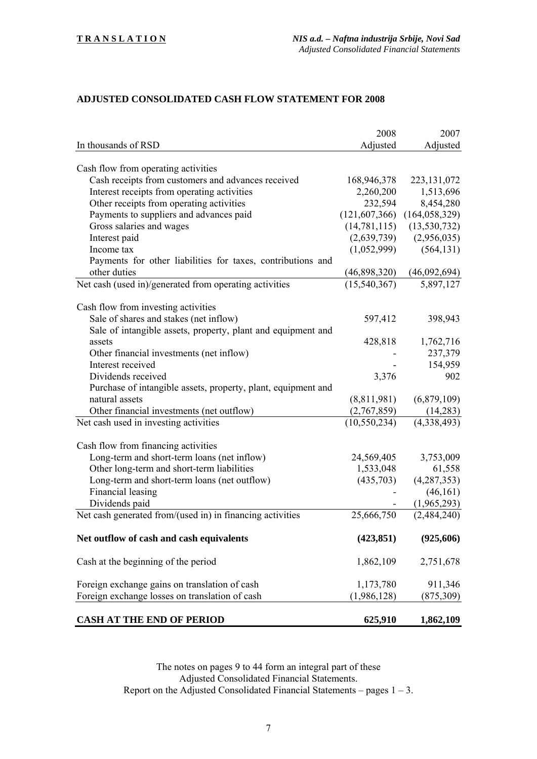## **ADJUSTED CONSOLIDATED CASH FLOW STATEMENT FOR 2008**

|                                                               | 2008           | 2007                            |
|---------------------------------------------------------------|----------------|---------------------------------|
| In thousands of RSD                                           | Adjusted       | Adjusted                        |
|                                                               |                |                                 |
| Cash flow from operating activities                           |                |                                 |
| Cash receipts from customers and advances received            | 168,946,378    | 223, 131, 072                   |
| Interest receipts from operating activities                   | 2,260,200      | 1,513,696                       |
| Other receipts from operating activities                      | 232,594        | 8,454,280                       |
| Payments to suppliers and advances paid                       |                | $(121,607,366)$ $(164,058,329)$ |
| Gross salaries and wages                                      | (14, 781, 115) | (13, 530, 732)                  |
| Interest paid                                                 | (2,639,739)    | (2,956,035)                     |
| Income tax                                                    | (1,052,999)    | (564, 131)                      |
| Payments for other liabilities for taxes, contributions and   |                |                                 |
| other duties                                                  | (46,898,320)   | (46,092,694)                    |
| Net cash (used in)/generated from operating activities        | (15,540,367)   | 5,897,127                       |
|                                                               |                |                                 |
| Cash flow from investing activities                           |                |                                 |
| Sale of shares and stakes (net inflow)                        | 597,412        | 398,943                         |
| Sale of intangible assets, property, plant and equipment and  |                |                                 |
| assets                                                        | 428,818        | 1,762,716                       |
| Other financial investments (net inflow)                      |                | 237,379                         |
| Interest received                                             |                | 154,959                         |
| Dividends received                                            | 3,376          | 902                             |
| Purchase of intangible assets, property, plant, equipment and |                |                                 |
| natural assets                                                | (8,811,981)    | (6,879,109)                     |
| Other financial investments (net outflow)                     | (2,767,859)    | (14, 283)                       |
| Net cash used in investing activities                         | (10, 550, 234) | (4,338,493)                     |
|                                                               |                |                                 |
| Cash flow from financing activities                           |                |                                 |
| Long-term and short-term loans (net inflow)                   | 24,569,405     | 3,753,009                       |
| Other long-term and short-term liabilities                    | 1,533,048      | 61,558                          |
| Long-term and short-term loans (net outflow)                  | (435,703)      | (4, 287, 353)                   |
| Financial leasing                                             |                | (46, 161)                       |
| Dividends paid                                                |                | (1,965,293)                     |
| Net cash generated from/(used in) in financing activities     | 25,666,750     | (2,484,240)                     |
| Net outflow of cash and cash equivalents                      | (423, 851)     | (925, 606)                      |
|                                                               |                |                                 |
| Cash at the beginning of the period                           | 1,862,109      | 2,751,678                       |
| Foreign exchange gains on translation of cash                 | 1,173,780      | 911,346                         |
| Foreign exchange losses on translation of cash                |                |                                 |
|                                                               | (1,986,128)    | (875, 309)                      |
| <b>CASH AT THE END OF PERIOD</b>                              | 625,910        | 1,862,109                       |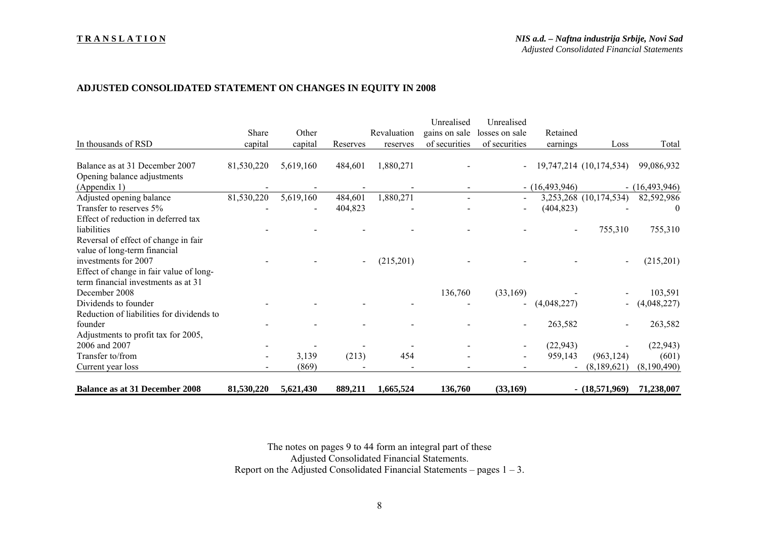#### **T R A N S L A T I O N**

#### **ADJUSTED CONSOLIDATED STATEMENT ON CHANGES IN EQUITY IN 2008**

|                                           |            |           |          |             | Unrealised    | Unrealised                   |                  |                         |                  |
|-------------------------------------------|------------|-----------|----------|-------------|---------------|------------------------------|------------------|-------------------------|------------------|
|                                           | Share      | Other     |          | Revaluation | gains on sale | losses on sale               | Retained         |                         |                  |
| In thousands of RSD                       | capital    | capital   | Reserves | reserves    | of securities | of securities                | earnings         | Loss                    | Total            |
|                                           |            |           |          |             |               |                              |                  |                         |                  |
| Balance as at 31 December 2007            | 81,530,220 | 5,619,160 | 484,601  | 1,880,271   |               | $\blacksquare$               |                  | 19,747,214 (10,174,534) | 99,086,932       |
| Opening balance adjustments               |            |           |          |             |               |                              |                  |                         |                  |
| (Appendix 1)                              |            |           |          |             |               |                              | $- (16,493,946)$ |                         | $- (16,493,946)$ |
| Adjusted opening balance                  | 81,530,220 | 5,619,160 | 484,601  | 1,880,271   |               | $\blacksquare$               |                  | 3,253,268 (10,174,534)  | 82,592,986       |
| Transfer to reserves 5%                   |            |           | 404,823  |             |               | $\overline{\phantom{a}}$     | (404, 823)       |                         | $\theta$         |
| Effect of reduction in deferred tax       |            |           |          |             |               |                              |                  |                         |                  |
| liabilities                               |            |           |          |             |               |                              |                  | 755,310                 | 755,310          |
| Reversal of effect of change in fair      |            |           |          |             |               |                              |                  |                         |                  |
| value of long-term financial              |            |           |          |             |               |                              |                  |                         |                  |
| investments for 2007                      |            |           |          | (215,201)   |               |                              |                  |                         | (215,201)        |
| Effect of change in fair value of long-   |            |           |          |             |               |                              |                  |                         |                  |
| term financial investments as at 31       |            |           |          |             |               |                              |                  |                         |                  |
| December 2008                             |            |           |          |             | 136,760       | (33,169)                     |                  |                         | 103,591          |
| Dividends to founder                      |            |           |          |             |               | $\blacksquare$               | (4,048,227)      |                         | (4,048,227)      |
| Reduction of liabilities for dividends to |            |           |          |             |               |                              |                  |                         |                  |
| founder                                   |            |           |          |             |               | $\qquad \qquad \blacksquare$ | 263,582          |                         | 263,582          |
| Adjustments to profit tax for 2005,       |            |           |          |             |               |                              |                  |                         |                  |
| 2006 and 2007                             |            |           |          |             |               |                              | (22, 943)        |                         | (22, 943)        |
| Transfer to/from                          |            | 3,139     | (213)    | 454         |               | $\qquad \qquad \blacksquare$ | 959,143          | (963, 124)              | (601)            |
| Current year loss                         |            | (869)     |          |             |               |                              |                  | (8,189,621)             | (8,190,490)      |
| <b>Balance as at 31 December 2008</b>     | 81,530,220 | 5,621,430 | 889,211  | 1,665,524   | 136,760       | (33,169)                     |                  | $- (18,571,969)$        | 71,238,007       |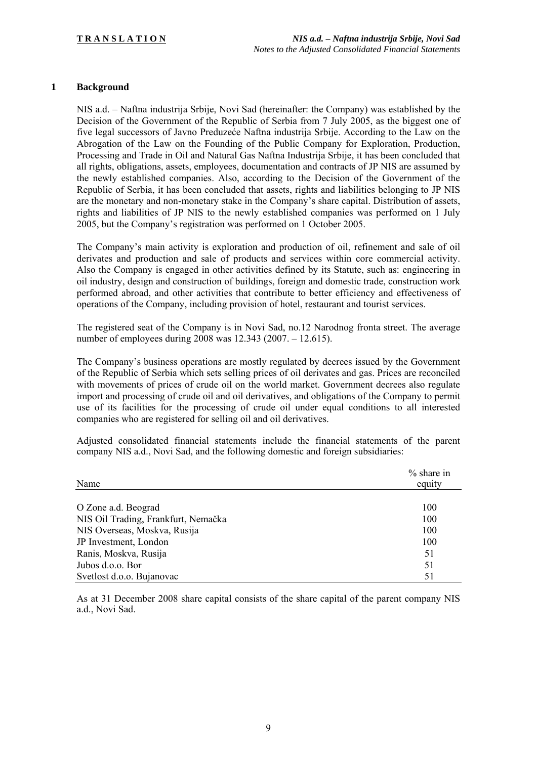#### **1 Background**

NIS a.d. – Naftna industrija Srbije, Novi Sad (hereinafter: the Company) was established by the Decision of the Government of the Republic of Serbia from 7 July 2005, as the biggest one of five legal successors of Javno Preduzeće Naftna industrija Srbije. According to the Law on the Abrogation of the Law on the Founding of the Public Company for Exploration, Production, Processing and Trade in Oil and Natural Gas Naftna Industrija Srbije, it has been concluded that all rights, obligations, assets, employees, documentation and contracts of JP NIS are assumed by the newly established companies. Also, according to the Decision of the Government of the Republic of Serbia, it has been concluded that assets, rights and liabilities belonging to JP NIS are the monetary and non-monetary stake in the Company's share capital. Distribution of assets, rights and liabilities of JP NIS to the newly established companies was performed on 1 July 2005, but the Company's registration was performed on 1 October 2005.

The Company's main activity is exploration and production of oil, refinement and sale of oil derivates and production and sale of products and services within core commercial activity. Also the Company is engaged in other activities defined by its Statute, such as: engineering in oil industry, design and construction of buildings, foreign and domestic trade, construction work performed abroad, and other activities that contribute to better efficiency and effectiveness of operations of the Company, including provision of hotel, restaurant and tourist services.

The registered seat of the Company is in Novi Sad, no.12 Narodnog fronta street. The average number of employees during 2008 was 12.343 (2007. – 12.615).

The Company's business operations are mostly regulated by decrees issued by the Government of the Republic of Serbia which sets selling prices of oil derivates and gas. Prices are reconciled with movements of prices of crude oil on the world market. Government decrees also regulate import and processing of crude oil and oil derivatives, and obligations of the Company to permit use of its facilities for the processing of crude oil under equal conditions to all interested companies who are registered for selling oil and oil derivatives.

Adjusted consolidated financial statements include the financial statements of the parent company NIS a.d., Novi Sad, and the following domestic and foreign subsidiaries:

| Name                                | $%$ share in<br>equity |
|-------------------------------------|------------------------|
|                                     |                        |
| O Zone a.d. Beograd                 | 100                    |
| NIS Oil Trading, Frankfurt, Nemačka | 100                    |
| NIS Overseas, Moskva, Rusija        | 100                    |
| JP Investment, London               | 100                    |
| Ranis, Moskva, Rusija               | 51                     |
| Jubos d.o.o. Bor                    | 51                     |
| Svetlost d.o.o. Bujanovac           | 51                     |

As at 31 December 2008 share capital consists of the share capital of the parent company NIS a.d., Novi Sad.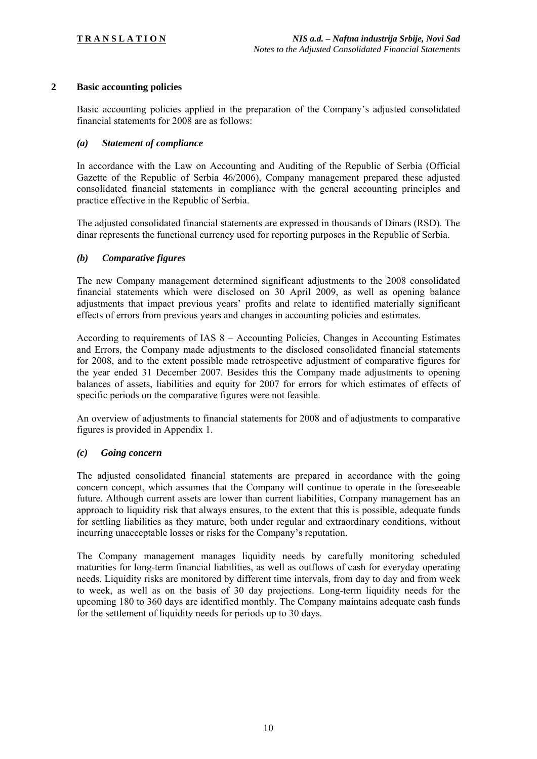#### **2 Basic accounting policies**

Basic accounting policies applied in the preparation of the Company's adjusted consolidated financial statements for 2008 are as follows:

#### *(a) Statement of compliance*

In accordance with the Law on Accounting and Auditing of the Republic of Serbia (Official Gazette of the Republic of Serbia 46/2006), Company management prepared these adjusted consolidated financial statements in compliance with the general accounting principles and practice effective in the Republic of Serbia.

The adjusted consolidated financial statements are expressed in thousands of Dinars (RSD). The dinar represents the functional currency used for reporting purposes in the Republic of Serbia.

#### *(b) Comparative figures*

The new Company management determined significant adjustments to the 2008 consolidated financial statements which were disclosed on 30 April 2009, as well as opening balance adjustments that impact previous years' profits and relate to identified materially significant effects of errors from previous years and changes in accounting policies and estimates.

According to requirements of IAS 8 – Accounting Policies, Changes in Accounting Estimates and Errors, the Company made adjustments to the disclosed consolidated financial statements for 2008, and to the extent possible made retrospective adjustment of comparative figures for the year ended 31 December 2007. Besides this the Company made adjustments to opening balances of assets, liabilities and equity for 2007 for errors for which estimates of effects of specific periods on the comparative figures were not feasible.

An overview of adjustments to financial statements for 2008 and of adjustments to comparative figures is provided in Appendix 1.

#### *(c) Going concern*

The adjusted consolidated financial statements are prepared in accordance with the going concern concept, which assumes that the Company will continue to operate in the foreseeable future. Although current assets are lower than current liabilities, Company management has an approach to liquidity risk that always ensures, to the extent that this is possible, adequate funds for settling liabilities as they mature, both under regular and extraordinary conditions, without incurring unacceptable losses or risks for the Company's reputation.

The Company management manages liquidity needs by carefully monitoring scheduled maturities for long-term financial liabilities, as well as outflows of cash for everyday operating needs. Liquidity risks are monitored by different time intervals, from day to day and from week to week, as well as on the basis of 30 day projections. Long-term liquidity needs for the upcoming 180 to 360 days are identified monthly. The Company maintains adequate cash funds for the settlement of liquidity needs for periods up to 30 days.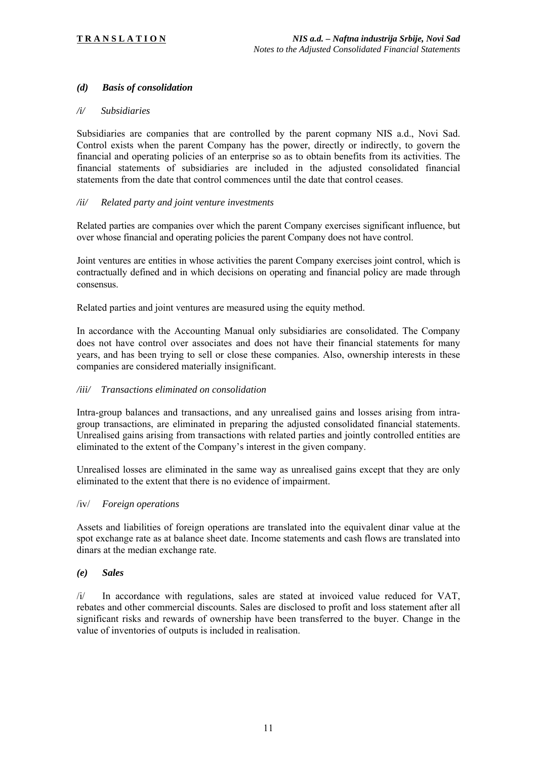### *(d) Basis of consolidation*

#### */i/ Subsidiaries*

Subsidiaries are companies that are controlled by the parent copmany NIS a.d., Novi Sad. Control exists when the parent Company has the power, directly or indirectly, to govern the financial and operating policies of an enterprise so as to obtain benefits from its activities. The financial statements of subsidiaries are included in the adjusted consolidated financial statements from the date that control commences until the date that control ceases.

#### */ii/ Related party and joint venture investments*

Related parties are companies over which the parent Company exercises significant influence, but over whose financial and operating policies the parent Company does not have control.

Joint ventures are entities in whose activities the parent Company exercises joint control, which is contractually defined and in which decisions on operating and financial policy are made through consensus.

Related parties and joint ventures are measured using the equity method.

In accordance with the Accounting Manual only subsidiaries are consolidated. The Company does not have control over associates and does not have their financial statements for many years, and has been trying to sell or close these companies. Also, ownership interests in these companies are considered materially insignificant.

#### */iii/ Transactions eliminated on consolidation*

Intra-group balances and transactions, and any unrealised gains and losses arising from intragroup transactions, are eliminated in preparing the adjusted consolidated financial statements. Unrealised gains arising from transactions with related parties and jointly controlled entities are eliminated to the extent of the Company's interest in the given company.

Unrealised losses are eliminated in the same way as unrealised gains except that they are only eliminated to the extent that there is no evidence of impairment.

#### /iv/ *Foreign operations*

Assets and liabilities of foreign operations are translated into the equivalent dinar value at the spot exchange rate as at balance sheet date. Income statements and cash flows are translated into dinars at the median exchange rate.

#### *(e) Sales*

/i/ In accordance with regulations, sales are stated at invoiced value reduced for VAT, rebates and other commercial discounts. Sales are disclosed to profit and loss statement after all significant risks and rewards of ownership have been transferred to the buyer. Change in the value of inventories of outputs is included in realisation.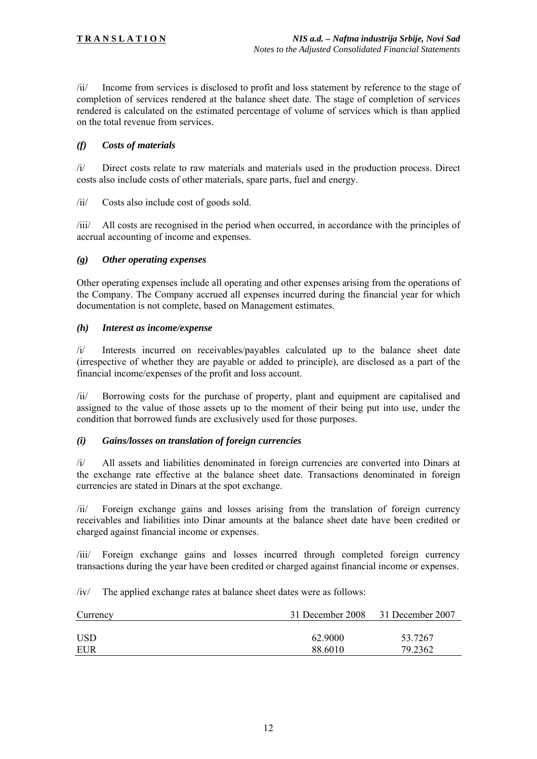/ii/ Income from services is disclosed to profit and loss statement by reference to the stage of completion of services rendered at the balance sheet date. The stage of completion of services rendered is calculated on the estimated percentage of volume of services which is than applied on the total revenue from services.

#### *(f) Costs of materials*

/i/ Direct costs relate to raw materials and materials used in the production process. Direct costs also include costs of other materials, spare parts, fuel and energy.

/ii/ Costs also include cost of goods sold.

/iii/ All costs are recognised in the period when occurred, in accordance with the principles of accrual accounting of income and expenses.

#### *(g) Other operating expenses*

Other operating expenses include all operating and other expenses arising from the operations of the Company. The Company accrued all expenses incurred during the financial year for which documentation is not complete, based on Management estimates.

#### *(h) Interest as income/expense*

/i/ Interests incurred on receivables/payables calculated up to the balance sheet date (irrespective of whether they are payable or added to principle), are disclosed as a part of the financial income/expenses of the profit and loss account.

/ii/ Borrowing costs for the purchase of property, plant and equipment are capitalised and assigned to the value of those assets up to the moment of their being put into use, under the condition that borrowed funds are exclusively used for those purposes.

#### *(i) Gains/losses on translation of foreign currencies*

/i/ All assets and liabilities denominated in foreign currencies are converted into Dinars at the exchange rate effective at the balance sheet date. Transactions denominated in foreign currencies are stated in Dinars at the spot exchange.

/ii/ Foreign exchange gains and losses arising from the translation of foreign currency receivables and liabilities into Dinar amounts at the balance sheet date have been credited or charged against financial income or expenses.

/iii/ Foreign exchange gains and losses incurred through completed foreign currency transactions during the year have been credited or charged against financial income or expenses.

/iv/ The applied exchange rates at balance sheet dates were as follows:

| Currency   | 31 December 2008 31 December 2007 |         |
|------------|-----------------------------------|---------|
|            |                                   |         |
| <b>USD</b> | 62.9000                           | 53.7267 |
| EUR        | 88.6010                           | 79.2362 |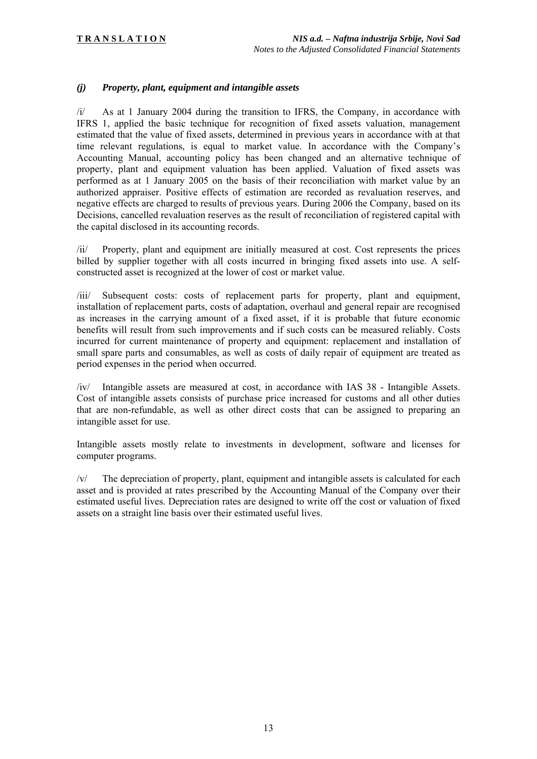#### *(j) Property, plant, equipment and intangible assets*

/i/ As at 1 January 2004 during the transition to IFRS, the Company, in accordance with IFRS 1, applied the basic technique for recognition of fixed assets valuation, management estimated that the value of fixed assets, determined in previous years in accordance with at that time relevant regulations, is equal to market value. In accordance with the Company's Accounting Manual, accounting policy has been changed and an alternative technique of property, plant and equipment valuation has been applied. Valuation of fixed assets was performed as at 1 January 2005 on the basis of their reconciliation with market value by an authorized appraiser. Positive effects of estimation are recorded as revaluation reserves, and negative effects are charged to results of previous years. During 2006 the Company, based on its Decisions, cancelled revaluation reserves as the result of reconciliation of registered capital with the capital disclosed in its accounting records.

/ii/ Property, plant and equipment are initially measured at cost. Cost represents the prices billed by supplier together with all costs incurred in bringing fixed assets into use. A selfconstructed asset is recognized at the lower of cost or market value.

/iii/ Subsequent costs: costs of replacement parts for property, plant and equipment, installation of replacement parts, costs of adaptation, overhaul and general repair are recognised as increases in the carrying amount of a fixed asset, if it is probable that future economic benefits will result from such improvements and if such costs can be measured reliably. Costs incurred for current maintenance of property and equipment: replacement and installation of small spare parts and consumables, as well as costs of daily repair of equipment are treated as period expenses in the period when occurred.

/iv/ Intangible assets are measured at cost, in accordance with IAS 38 - Intangible Assets. Cost of intangible assets consists of purchase price increased for customs and all other duties that are non-refundable, as well as other direct costs that can be assigned to preparing an intangible asset for use.

Intangible assets mostly relate to investments in development, software and licenses for computer programs.

/v/ The depreciation of property, plant, equipment and intangible assets is calculated for each asset and is provided at rates prescribed by the Accounting Manual of the Company over their estimated useful lives. Depreciation rates are designed to write off the cost or valuation of fixed assets on a straight line basis over their estimated useful lives.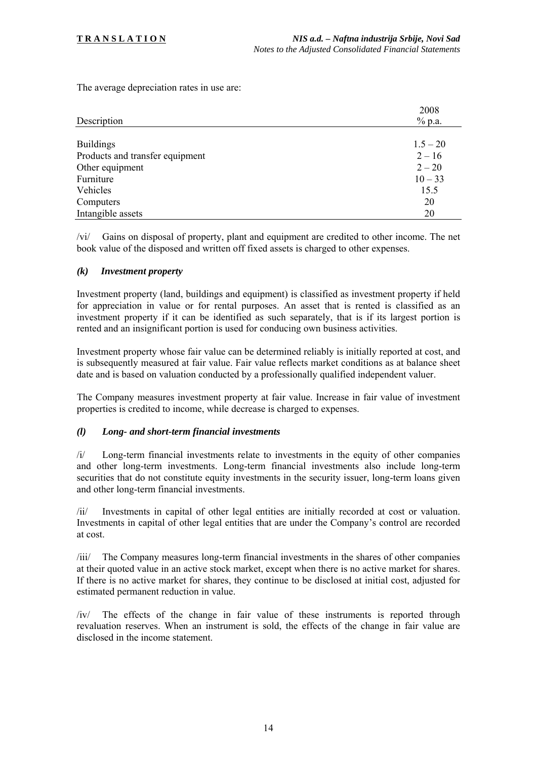The average depreciation rates in use are:

|                                 | 2008       |
|---------------------------------|------------|
| Description                     | % p.a.     |
|                                 |            |
| <b>Buildings</b>                | $1.5 - 20$ |
| Products and transfer equipment | $2 - 16$   |
| Other equipment                 | $2 - 20$   |
| Furniture                       | $10 - 33$  |
| Vehicles                        | 15.5       |
| Computers                       | 20         |
| Intangible assets               | 20         |

/vi/ Gains on disposal of property, plant and equipment are credited to other income. The net book value of the disposed and written off fixed assets is charged to other expenses.

#### *(k) Investment property*

Investment property (land, buildings and equipment) is classified as investment property if held for appreciation in value or for rental purposes. An asset that is rented is classified as an investment property if it can be identified as such separately, that is if its largest portion is rented and an insignificant portion is used for conducing own business activities.

Investment property whose fair value can be determined reliably is initially reported at cost, and is subsequently measured at fair value. Fair value reflects market conditions as at balance sheet date and is based on valuation conducted by a professionally qualified independent valuer.

The Company measures investment property at fair value. Increase in fair value of investment properties is credited to income, while decrease is charged to expenses.

#### *(l) Long- and short-term financial investments*

/i/ Long-term financial investments relate to investments in the equity of other companies and other long-term investments. Long-term financial investments also include long-term securities that do not constitute equity investments in the security issuer, long-term loans given and other long-term financial investments.

/ii/ Investments in capital of other legal entities are initially recorded at cost or valuation. Investments in capital of other legal entities that are under the Company's control are recorded at cost.

/iii/ The Company measures long-term financial investments in the shares of other companies at their quoted value in an active stock market, except when there is no active market for shares. If there is no active market for shares, they continue to be disclosed at initial cost, adjusted for estimated permanent reduction in value.

/iv/ The effects of the change in fair value of these instruments is reported through revaluation reserves. When an instrument is sold, the effects of the change in fair value are disclosed in the income statement.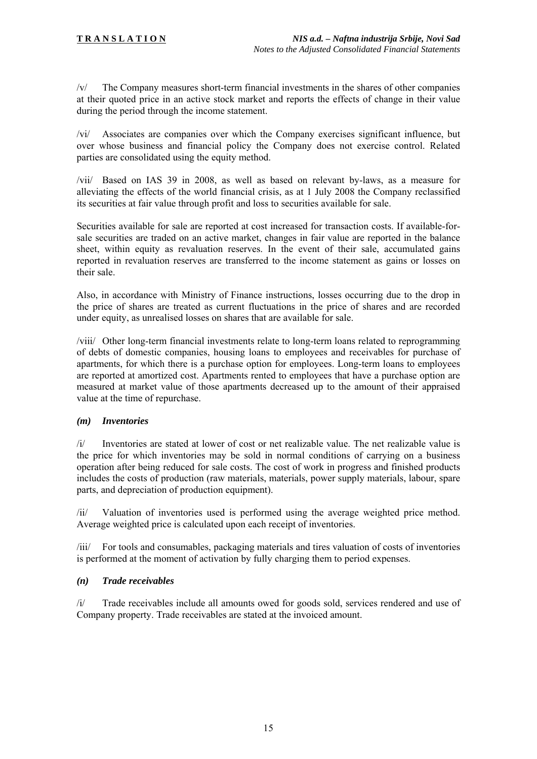/v/ The Company measures short-term financial investments in the shares of other companies at their quoted price in an active stock market and reports the effects of change in their value during the period through the income statement.

/vi/ Associates are companies over which the Company exercises significant influence, but over whose business and financial policy the Company does not exercise control. Related parties are consolidated using the equity method.

/vii/ Based on IAS 39 in 2008, as well as based on relevant by-laws, as a measure for alleviating the effects of the world financial crisis, as at 1 July 2008 the Company reclassified its securities at fair value through profit and loss to securities available for sale.

Securities available for sale are reported at cost increased for transaction costs. If available-forsale securities are traded on an active market, changes in fair value are reported in the balance sheet, within equity as revaluation reserves. In the event of their sale, accumulated gains reported in revaluation reserves are transferred to the income statement as gains or losses on their sale.

Also, in accordance with Ministry of Finance instructions, losses occurring due to the drop in the price of shares are treated as current fluctuations in the price of shares and are recorded under equity, as unrealised losses on shares that are available for sale.

/viii/ Other long-term financial investments relate to long-term loans related to reprogramming of debts of domestic companies, housing loans to employees and receivables for purchase of apartments, for which there is a purchase option for employees. Long-term loans to employees are reported at amortized cost. Apartments rented to employees that have a purchase option are measured at market value of those apartments decreased up to the amount of their appraised value at the time of repurchase.

#### *(m) Inventories*

/i/ Inventories are stated at lower of cost or net realizable value. The net realizable value is the price for which inventories may be sold in normal conditions of carrying on a business operation after being reduced for sale costs. The cost of work in progress and finished products includes the costs of production (raw materials, materials, power supply materials, labour, spare parts, and depreciation of production equipment).

/ii/ Valuation of inventories used is performed using the average weighted price method. Average weighted price is calculated upon each receipt of inventories.

/iii/ For tools and consumables, packaging materials and tires valuation of costs of inventories is performed at the moment of activation by fully charging them to period expenses.

#### *(n) Trade receivables*

/i/ Trade receivables include all amounts owed for goods sold, services rendered and use of Company property. Trade receivables are stated at the invoiced amount.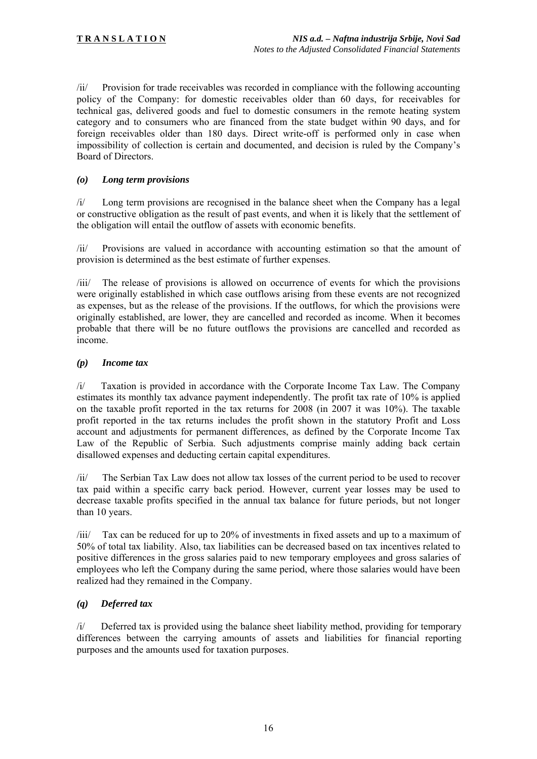/ii/ Provision for trade receivables was recorded in compliance with the following accounting policy of the Company: for domestic receivables older than 60 days, for receivables for technical gas, delivered goods and fuel to domestic consumers in the remote heating system category and to consumers who are financed from the state budget within 90 days, and for foreign receivables older than 180 days. Direct write-off is performed only in case when impossibility of collection is certain and documented, and decision is ruled by the Company's Board of Directors.

#### *(o) Long term provisions*

/i/ Long term provisions are recognised in the balance sheet when the Company has a legal or constructive obligation as the result of past events, and when it is likely that the settlement of the obligation will entail the outflow of assets with economic benefits.

/ii/ Provisions are valued in accordance with accounting estimation so that the amount of provision is determined as the best estimate of further expenses.

/iii/ The release of provisions is allowed on occurrence of events for which the provisions were originally established in which case outflows arising from these events are not recognized as expenses, but as the release of the provisions. If the outflows, for which the provisions were originally established, are lower, they are cancelled and recorded as income. When it becomes probable that there will be no future outflows the provisions are cancelled and recorded as income.

#### *(p) Income tax*

/i/ Taxation is provided in accordance with the Corporate Income Tax Law. The Company estimates its monthly tax advance payment independently. The profit tax rate of 10% is applied on the taxable profit reported in the tax returns for 2008 (in 2007 it was 10%). The taxable profit reported in the tax returns includes the profit shown in the statutory Profit and Loss account and adjustments for permanent differences, as defined by the Corporate Income Tax Law of the Republic of Serbia. Such adjustments comprise mainly adding back certain disallowed expenses and deducting certain capital expenditures.

/ii/ The Serbian Tax Law does not allow tax losses of the current period to be used to recover tax paid within a specific carry back period. However, current year losses may be used to decrease taxable profits specified in the annual tax balance for future periods, but not longer than 10 years.

/iii/ Tax can be reduced for up to 20% of investments in fixed assets and up to a maximum of 50% of total tax liability. Also, tax liabilities can be decreased based on tax incentives related to positive differences in the gross salaries paid to new temporary employees and gross salaries of employees who left the Company during the same period, where those salaries would have been realized had they remained in the Company.

## *(q) Deferred tax*

/i/ Deferred tax is provided using the balance sheet liability method, providing for temporary differences between the carrying amounts of assets and liabilities for financial reporting purposes and the amounts used for taxation purposes.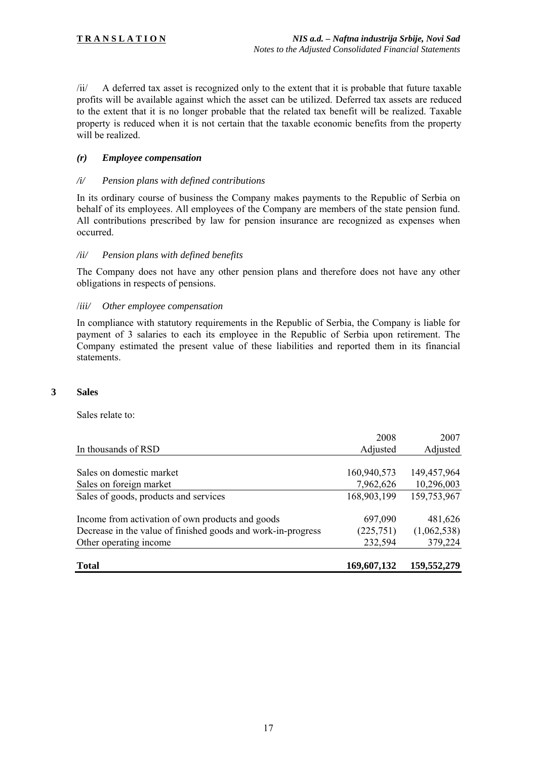/ii/ A deferred tax asset is recognized only to the extent that it is probable that future taxable profits will be available against which the asset can be utilized. Deferred tax assets are reduced to the extent that it is no longer probable that the related tax benefit will be realized. Taxable property is reduced when it is not certain that the taxable economic benefits from the property will be realized.

#### *(r) Employee compensation*

#### */i/ Pension plans with defined contributions*

In its ordinary course of business the Company makes payments to the Republic of Serbia on behalf of its employees. All employees of the Company are members of the state pension fund. All contributions prescribed by law for pension insurance are recognized as expenses when occurred.

#### */ii/ Pension plans with defined benefits*

The Company does not have any other pension plans and therefore does not have any other obligations in respects of pensions.

#### /*iii/ Other employee compensation*

In compliance with statutory requirements in the Republic of Serbia, the Company is liable for payment of 3 salaries to each its employee in the Republic of Serbia upon retirement. The Company estimated the present value of these liabilities and reported them in its financial statements.

#### **3 Sales**

Sales relate to:

| <b>Total</b>                                                 | 169,607,132 | 159,552,279 |
|--------------------------------------------------------------|-------------|-------------|
| Other operating income                                       | 232,594     | 379,224     |
| Decrease in the value of finished goods and work-in-progress | (225, 751)  | (1,062,538) |
| Income from activation of own products and goods             | 697,090     | 481,626     |
| Sales of goods, products and services                        | 168,903,199 | 159,753,967 |
| Sales on foreign market                                      | 7,962,626   | 10,296,003  |
| Sales on domestic market                                     | 160,940,573 | 149,457,964 |
|                                                              |             |             |
| In thousands of RSD                                          | Adjusted    | Adjusted    |
|                                                              | 2008        | 2007        |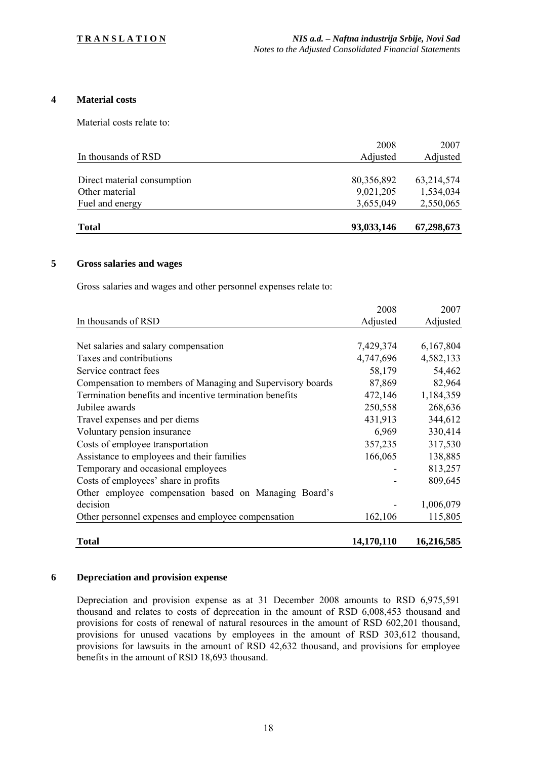#### **4 Material costs**

Material costs relate to:

| <b>Total</b>                | 93,033,146       | 67,298,673       |
|-----------------------------|------------------|------------------|
| Fuel and energy             | 3,655,049        | 2,550,065        |
| Other material              | 9,021,205        | 1,534,034        |
| Direct material consumption | 80,356,892       | 63,214,574       |
| In thousands of RSD         | 2008<br>Adjusted | 2007<br>Adjusted |
|                             |                  |                  |

#### **5 Gross salaries and wages**

Gross salaries and wages and other personnel expenses relate to:

|                                                            | 2008       | 2007       |
|------------------------------------------------------------|------------|------------|
| In thousands of RSD                                        | Adjusted   | Adjusted   |
|                                                            |            |            |
| Net salaries and salary compensation                       | 7,429,374  | 6,167,804  |
| Taxes and contributions                                    | 4,747,696  | 4,582,133  |
| Service contract fees                                      | 58,179     | 54,462     |
| Compensation to members of Managing and Supervisory boards | 87,869     | 82,964     |
| Termination benefits and incentive termination benefits    | 472,146    | 1,184,359  |
| Jubilee awards                                             | 250,558    | 268,636    |
| Travel expenses and per diems                              | 431,913    | 344,612    |
| Voluntary pension insurance                                | 6,969      | 330,414    |
| Costs of employee transportation                           | 357,235    | 317,530    |
| Assistance to employees and their families                 | 166,065    | 138,885    |
| Temporary and occasional employees                         |            | 813,257    |
| Costs of employees' share in profits                       |            | 809,645    |
| Other employee compensation based on Managing Board's      |            |            |
| decision                                                   |            | 1,006,079  |
| Other personnel expenses and employee compensation         | 162,106    | 115,805    |
| <b>Total</b>                                               | 14,170,110 | 16,216,585 |

#### **6 Depreciation and provision expense**

Depreciation and provision expense as at 31 December 2008 amounts to RSD 6,975,591 thousand and relates to costs of deprecation in the amount of RSD 6,008,453 thousand and provisions for costs of renewal of natural resources in the amount of RSD 602,201 thousand, provisions for unused vacations by employees in the amount of RSD 303,612 thousand, provisions for lawsuits in the amount of RSD 42,632 thousand, and provisions for employee benefits in the amount of RSD 18,693 thousand.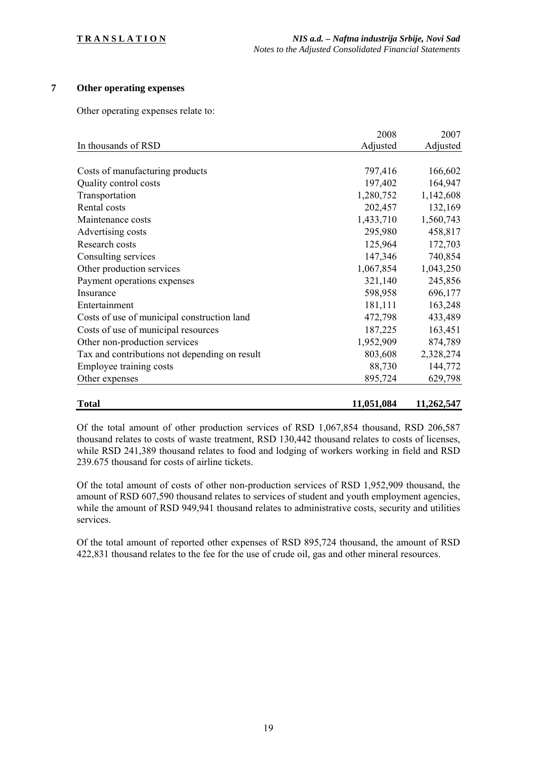# **7 Other operating expenses**

Other operating expenses relate to:

|                                               | 2008       | 2007       |
|-----------------------------------------------|------------|------------|
| In thousands of RSD                           | Adjusted   | Adjusted   |
|                                               |            |            |
| Costs of manufacturing products               | 797,416    | 166,602    |
| Quality control costs                         | 197,402    | 164,947    |
| Transportation                                | 1,280,752  | 1,142,608  |
| Rental costs                                  | 202,457    | 132,169    |
| Maintenance costs                             | 1,433,710  | 1,560,743  |
| Advertising costs                             | 295,980    | 458,817    |
| Research costs                                | 125,964    | 172,703    |
| Consulting services                           | 147,346    | 740,854    |
| Other production services                     | 1,067,854  | 1,043,250  |
| Payment operations expenses                   | 321,140    | 245,856    |
| Insurance                                     | 598,958    | 696,177    |
| Entertainment                                 | 181,111    | 163,248    |
| Costs of use of municipal construction land   | 472,798    | 433,489    |
| Costs of use of municipal resources           | 187,225    | 163,451    |
| Other non-production services                 | 1,952,909  | 874,789    |
| Tax and contributions not depending on result | 803,608    | 2,328,274  |
| Employee training costs                       | 88,730     | 144,772    |
| Other expenses                                | 895,724    | 629,798    |
| <b>Total</b>                                  | 11,051,084 | 11,262,547 |

Of the total amount of other production services of RSD 1,067,854 thousand, RSD 206,587 thousand relates to costs of waste treatment, RSD 130,442 thousand relates to costs of licenses, while RSD 241,389 thousand relates to food and lodging of workers working in field and RSD 239.675 thousand for costs of airline tickets.

Of the total amount of costs of other non-production services of RSD 1,952,909 thousand, the amount of RSD 607,590 thousand relates to services of student and youth employment agencies, while the amount of RSD 949,941 thousand relates to administrative costs, security and utilities services.

Of the total amount of reported other expenses of RSD 895,724 thousand, the amount of RSD 422,831 thousand relates to the fee for the use of crude oil, gas and other mineral resources.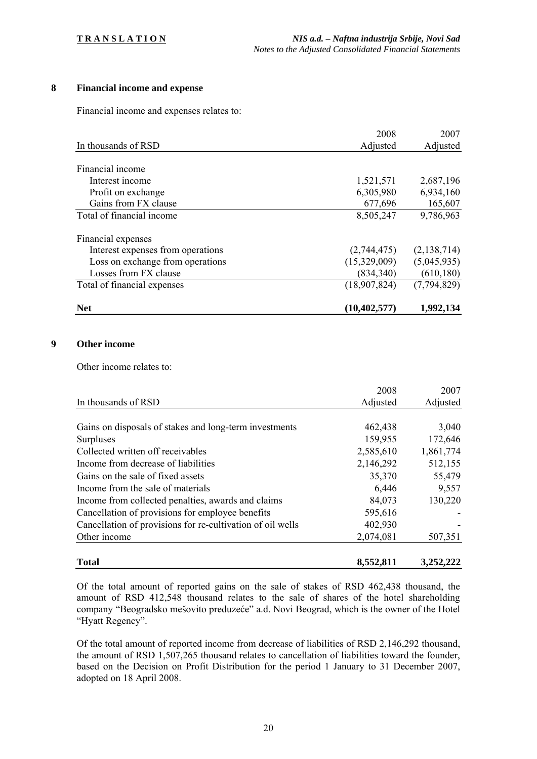# **8 Financial income and expense**

Financial income and expenses relates to:

|                                   | 2008           | 2007        |
|-----------------------------------|----------------|-------------|
| In thousands of RSD               | Adjusted       | Adjusted    |
|                                   |                |             |
| Financial income                  |                |             |
| Interest income                   | 1,521,571      | 2,687,196   |
| Profit on exchange                | 6,305,980      | 6,934,160   |
| Gains from FX clause              | 677,696        | 165,607     |
| Total of financial income         | 8,505,247      | 9,786,963   |
| Financial expenses                |                |             |
| Interest expenses from operations | (2,744,475)    | (2,138,714) |
| Loss on exchange from operations  | (15,329,009)   | (5,045,935) |
| Losses from FX clause             | (834, 340)     | (610, 180)  |
| Total of financial expenses       | (18,907,824)   | (7,794,829) |
| <b>Net</b>                        | (10, 402, 577) | 1,992,134   |

#### **9 Other income**

Other income relates to:

|                                                            | 2008      | 2007      |
|------------------------------------------------------------|-----------|-----------|
| In thousands of RSD                                        | Adjusted  | Adjusted  |
|                                                            |           |           |
| Gains on disposals of stakes and long-term investments     | 462,438   | 3,040     |
| Surpluses                                                  | 159,955   | 172,646   |
| Collected written off receivables                          | 2,585,610 | 1,861,774 |
| Income from decrease of liabilities                        | 2,146,292 | 512,155   |
| Gains on the sale of fixed assets                          | 35,370    | 55,479    |
| Income from the sale of materials                          | 6,446     | 9,557     |
| Income from collected penalties, awards and claims         | 84,073    | 130,220   |
| Cancellation of provisions for employee benefits           | 595,616   |           |
| Cancellation of provisions for re-cultivation of oil wells | 402,930   |           |
| Other income                                               | 2,074,081 | 507,351   |
| <b>Total</b>                                               | 8,552,811 | 3,252,222 |

Of the total amount of reported gains on the sale of stakes of RSD 462,438 thousand, the amount of RSD 412,548 thousand relates to the sale of shares of the hotel shareholding company "Beogradsko mešovito preduzeće" a.d. Novi Beograd, which is the owner of the Hotel "Hyatt Regency".

Of the total amount of reported income from decrease of liabilities of RSD 2,146,292 thousand, the amount of RSD 1,507,265 thousand relates to cancellation of liabilities toward the founder, based on the Decision on Profit Distribution for the period 1 January to 31 December 2007, adopted on 18 April 2008.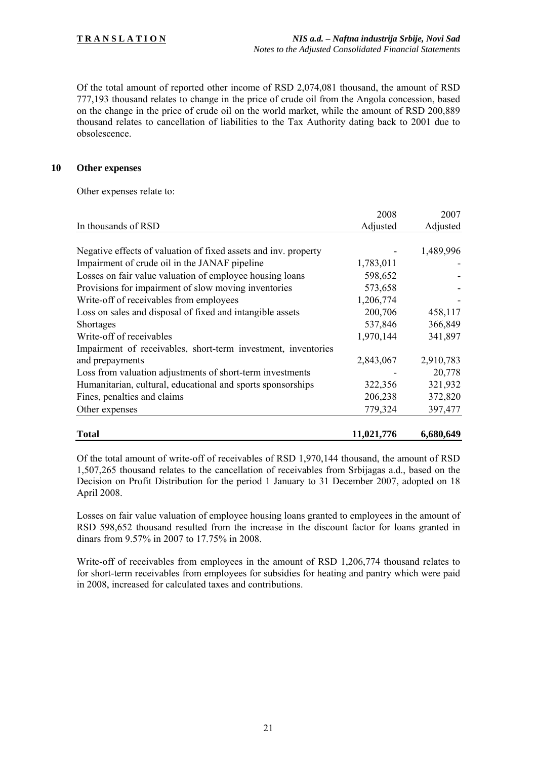Of the total amount of reported other income of RSD 2,074,081 thousand, the amount of RSD 777,193 thousand relates to change in the price of crude oil from the Angola concession, based on the change in the price of crude oil on the world market, while the amount of RSD 200,889 thousand relates to cancellation of liabilities to the Tax Authority dating back to 2001 due to obsolescence.

#### **10 Other expenses**

Other expenses relate to:

|                                                                 | 2008       | 2007      |
|-----------------------------------------------------------------|------------|-----------|
| In thousands of RSD                                             | Adjusted   | Adjusted  |
|                                                                 |            |           |
| Negative effects of valuation of fixed assets and inv. property |            | 1,489,996 |
| Impairment of crude oil in the JANAF pipeline                   | 1,783,011  |           |
| Losses on fair value valuation of employee housing loans        | 598,652    |           |
| Provisions for impairment of slow moving inventories            | 573,658    |           |
| Write-off of receivables from employees                         | 1,206,774  |           |
| Loss on sales and disposal of fixed and intangible assets       | 200,706    | 458,117   |
| Shortages                                                       | 537,846    | 366,849   |
| Write-off of receivables                                        | 1,970,144  | 341,897   |
| Impairment of receivables, short-term investment, inventories   |            |           |
| and prepayments                                                 | 2,843,067  | 2,910,783 |
| Loss from valuation adjustments of short-term investments       |            | 20,778    |
| Humanitarian, cultural, educational and sports sponsorships     | 322,356    | 321,932   |
| Fines, penalties and claims                                     | 206,238    | 372,820   |
| Other expenses                                                  | 779,324    | 397,477   |
| <b>Total</b>                                                    | 11,021,776 | 6,680,649 |

Of the total amount of write-off of receivables of RSD 1,970,144 thousand, the amount of RSD 1,507,265 thousand relates to the cancellation of receivables from Srbijagas a.d., based on the Decision on Profit Distribution for the period 1 January to 31 December 2007, adopted on 18 April 2008.

Losses on fair value valuation of employee housing loans granted to employees in the amount of RSD 598,652 thousand resulted from the increase in the discount factor for loans granted in dinars from 9.57% in 2007 to 17.75% in 2008.

Write-off of receivables from employees in the amount of RSD 1,206,774 thousand relates to for short-term receivables from employees for subsidies for heating and pantry which were paid in 2008, increased for calculated taxes and contributions.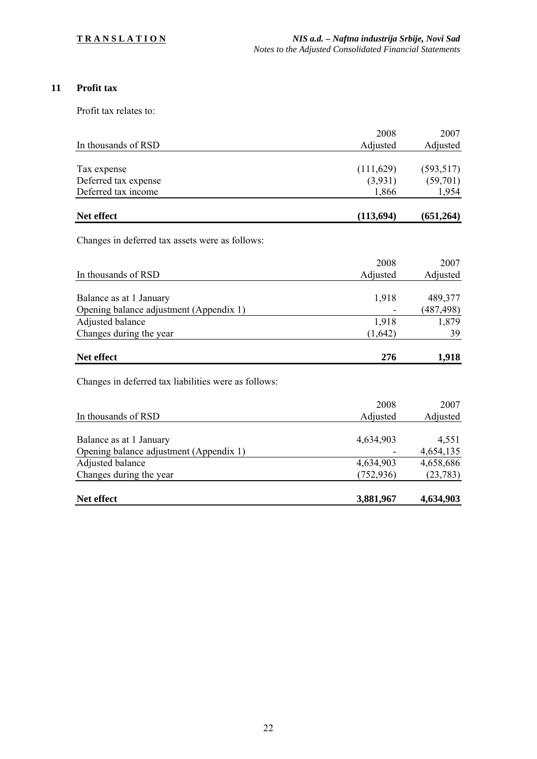# **11 Profit tax**

Profit tax relates to:

|                                                      | 2008       | 2007       |
|------------------------------------------------------|------------|------------|
| In thousands of RSD                                  | Adjusted   | Adjusted   |
|                                                      |            |            |
| Tax expense                                          | (111, 629) | (593, 517) |
| Deferred tax expense                                 | (3,931)    | (59,701)   |
| Deferred tax income                                  | 1,866      | 1,954      |
|                                                      |            |            |
| Net effect                                           | (113,694)  | (651,264)  |
|                                                      |            |            |
| Changes in deferred tax assets were as follows:      |            |            |
|                                                      | 2008       | 2007       |
| In thousands of RSD                                  | Adjusted   | Adjusted   |
|                                                      |            |            |
| Balance as at 1 January                              | 1,918      | 489,377    |
| Opening balance adjustment (Appendix 1)              |            | (487, 498) |
| Adjusted balance                                     | 1,918      | 1,879      |
| Changes during the year                              | (1,642)    | 39         |
|                                                      |            |            |
| Net effect                                           | 276        | 1,918      |
|                                                      |            |            |
| Changes in deferred tax liabilities were as follows: |            |            |
|                                                      | 2008       | 2007       |
| In thousands of RSD                                  | Adjusted   | Adjusted   |
|                                                      |            |            |
| Balance as at 1 January                              | 4,634,903  | 4,551      |
| Opening balance adjustment (Appendix 1)              |            | 4,654,135  |
| Adjusted balance                                     | 4,634,903  | 4,658,686  |
| Changes during the year                              | (752, 936) | (23, 783)  |
|                                                      |            |            |
| Net effect                                           | 3,881,967  | 4,634,903  |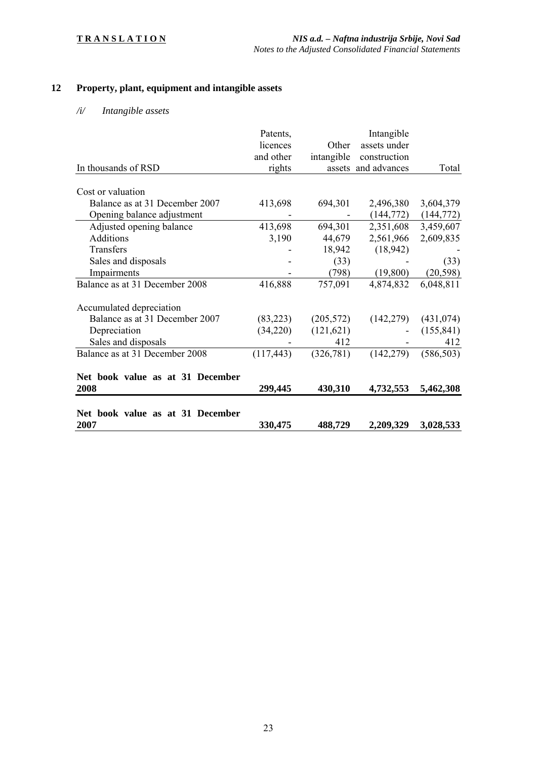# **12 Property, plant, equipment and intangible assets**

# */i/ Intangible assets*

|                                  | Patents,   |            | Intangible          |            |
|----------------------------------|------------|------------|---------------------|------------|
|                                  | licences   | Other      | assets under        |            |
|                                  | and other  | intangible | construction        |            |
| In thousands of RSD              | rights     |            | assets and advances | Total      |
|                                  |            |            |                     |            |
| Cost or valuation                |            |            |                     |            |
| Balance as at 31 December 2007   | 413,698    | 694,301    | 2,496,380           | 3,604,379  |
| Opening balance adjustment       |            |            | (144, 772)          | (144, 772) |
| Adjusted opening balance         | 413,698    | 694,301    | 2,351,608           | 3,459,607  |
| <b>Additions</b>                 | 3,190      | 44,679     | 2,561,966           | 2,609,835  |
| Transfers                        |            | 18,942     | (18, 942)           |            |
| Sales and disposals              |            | (33)       |                     | (33)       |
| Impairments                      |            | (798)      | (19,800)            | (20, 598)  |
| Balance as at 31 December 2008   | 416,888    | 757,091    | 4,874,832           | 6,048,811  |
| Accumulated depreciation         |            |            |                     |            |
| Balance as at 31 December 2007   | (83,223)   | (205, 572) | (142, 279)          | (431, 074) |
| Depreciation                     | (34,220)   | (121, 621) |                     | (155, 841) |
| Sales and disposals              |            | 412        |                     | 412        |
| Balance as at 31 December 2008   | (117, 443) | (326,781)  | (142, 279)          | (586, 503) |
| Net book value as at 31 December |            |            |                     |            |
| 2008                             | 299,445    | 430,310    | 4,732,553           | 5,462,308  |
| Net book value as at 31 December |            |            |                     |            |
| 2007                             | 330,475    | 488,729    | 2,209,329           | 3,028,533  |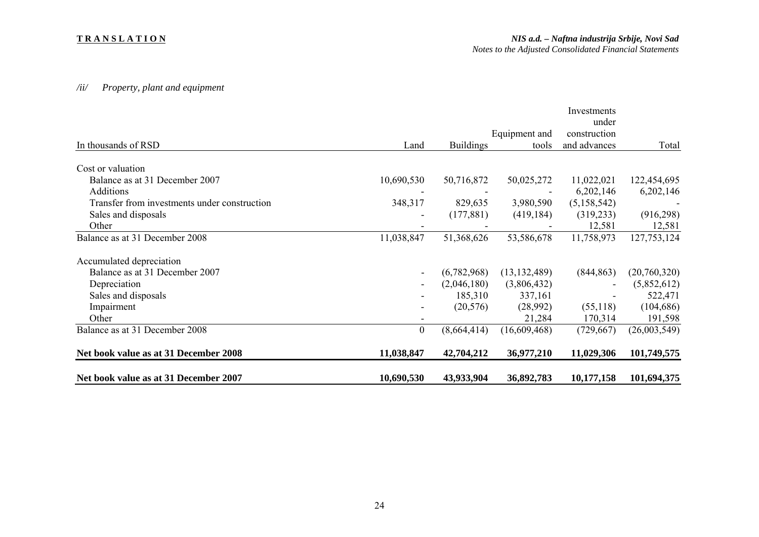#### **T R A N S L A T I O N**

# */ii/ Property, plant and equipment*

| Net book value as at 31 December 2007        | 10,690,530     | 43,933,904       | 36,892,783     | 10,177,158   | 101,694,375  |
|----------------------------------------------|----------------|------------------|----------------|--------------|--------------|
| Net book value as at 31 December 2008        | 11,038,847     | 42,704,212       | 36,977,210     | 11,029,306   | 101,749,575  |
| Balance as at 31 December 2008               | $\overline{0}$ | (8,664,414)      | (16,609,468)   | (729, 667)   | (26,003,549) |
| Other                                        |                |                  | 21,284         | 170,314      | 191,598      |
| Impairment                                   |                | (20, 576)        | (28,992)       | (55,118)     | (104, 686)   |
| Sales and disposals                          |                | 185,310          | 337,161        |              | 522,471      |
| Depreciation                                 |                | (2,046,180)      | (3,806,432)    |              | (5,852,612)  |
| Balance as at 31 December 2007               |                | (6,782,968)      | (13, 132, 489) | (844, 863)   | (20,760,320) |
| Accumulated depreciation                     |                |                  |                |              |              |
| Balance as at 31 December 2008               | 11,038,847     | 51,368,626       | 53,586,678     | 11,758,973   | 127,753,124  |
| Other                                        |                |                  |                | 12,581       | 12,581       |
| Sales and disposals                          |                | (177, 881)       | (419, 184)     | (319, 233)   | (916,298)    |
| Transfer from investments under construction | 348,317        | 829,635          | 3,980,590      | (5,158,542)  |              |
| <b>Additions</b>                             |                |                  |                | 6,202,146    | 6,202,146    |
| Balance as at 31 December 2007               | 10,690,530     | 50,716,872       | 50,025,272     | 11,022,021   | 122,454,695  |
| Cost or valuation                            |                |                  |                |              |              |
| In thousands of RSD                          | Land           | <b>Buildings</b> | tools          | and advances | Total        |
|                                              |                |                  | Equipment and  | construction |              |
|                                              |                |                  |                | under        |              |
|                                              |                |                  |                | Investments  |              |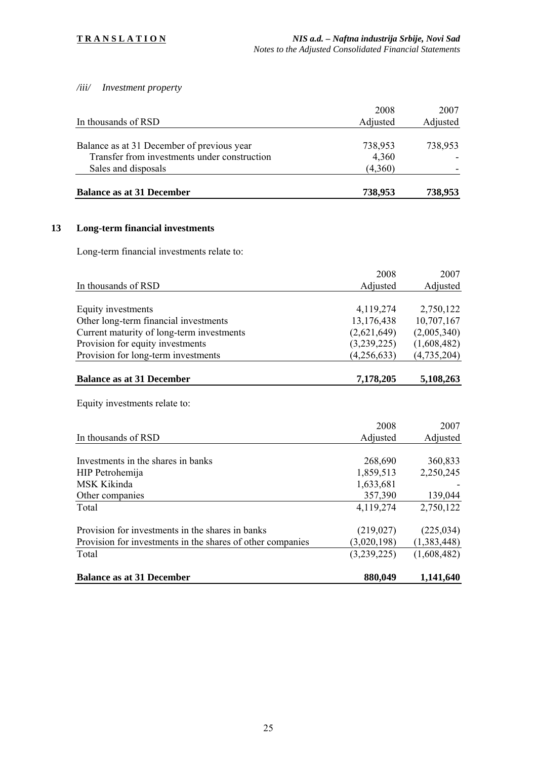*/iii/ Investment property* 

| <b>Balance as at 31 December</b>             | 738,953          | 738,953          |
|----------------------------------------------|------------------|------------------|
| Sales and disposals                          | (4,360)          |                  |
| Transfer from investments under construction | 4,360            |                  |
| Balance as at 31 December of previous year   | 738,953          | 738,953          |
| In thousands of RSD                          | 2008<br>Adjusted | 2007<br>Adjusted |
|                                              |                  |                  |

# **13 Long-term financial investments**

Long-term financial investments relate to:

|                                           | 2008        | 2007        |
|-------------------------------------------|-------------|-------------|
| In thousands of RSD                       | Adjusted    | Adjusted    |
|                                           |             |             |
| Equity investments                        | 4,119,274   | 2,750,122   |
| Other long-term financial investments     | 13,176,438  | 10,707,167  |
| Current maturity of long-term investments | (2,621,649) | (2,005,340) |
| Provision for equity investments          | (3,239,225) | (1,608,482) |
| Provision for long-term investments       | (4,256,633) | (4,735,204) |
| <b>Balance as at 31 December</b>          | 7,178,205   | 5,108,263   |

Equity investments relate to:

|                                                            | 2008        | 2007        |
|------------------------------------------------------------|-------------|-------------|
| In thousands of RSD                                        | Adjusted    | Adjusted    |
|                                                            |             |             |
| Investments in the shares in banks                         | 268,690     | 360,833     |
| HIP Petrohemija                                            | 1,859,513   | 2,250,245   |
| MSK Kikinda                                                | 1,633,681   |             |
| Other companies                                            | 357,390     | 139,044     |
| Total                                                      | 4,119,274   | 2,750,122   |
| Provision for investments in the shares in banks           | (219, 027)  | (225, 034)  |
| Provision for investments in the shares of other companies | (3,020,198) | (1,383,448) |
| Total                                                      | (3,239,225) | (1,608,482) |
| <b>Balance as at 31 December</b>                           | 880,049     | 1,141,640   |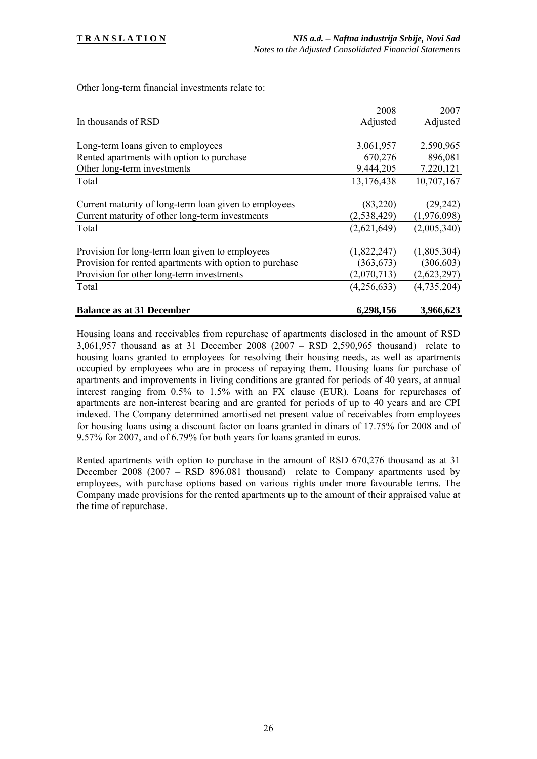Other long-term financial investments relate to:

|                                                         | 2008        | 2007        |
|---------------------------------------------------------|-------------|-------------|
| In thousands of RSD                                     | Adjusted    | Adjusted    |
|                                                         |             |             |
| Long-term loans given to employees                      | 3,061,957   | 2,590,965   |
| Rented apartments with option to purchase               | 670,276     | 896,081     |
| Other long-term investments                             | 9,444,205   | 7,220,121   |
| Total                                                   | 13,176,438  | 10,707,167  |
|                                                         |             |             |
| Current maturity of long-term loan given to employees   | (83,220)    | (29, 242)   |
| Current maturity of other long-term investments         | (2,538,429) | (1,976,098) |
| Total                                                   | (2,621,649) | (2,005,340) |
|                                                         |             |             |
| Provision for long-term loan given to employees         | (1,822,247) | (1,805,304) |
| Provision for rented apartments with option to purchase | (363, 673)  | (306, 603)  |
| Provision for other long-term investments               | (2,070,713) | (2,623,297) |
| Total                                                   | (4,256,633) | (4,735,204) |
| <b>Balance as at 31 December</b>                        | 6,298,156   | 3,966,623   |

Housing loans and receivables from repurchase of apartments disclosed in the amount of RSD 3,061,957 thousand as at 31 December 2008 (2007 – RSD 2,590,965 thousand) relate to housing loans granted to employees for resolving their housing needs, as well as apartments occupied by employees who are in process of repaying them. Housing loans for purchase of apartments and improvements in living conditions are granted for periods of 40 years, at annual interest ranging from 0.5% to 1.5% with an FX clause (EUR). Loans for repurchases of apartments are non-interest bearing and are granted for periods of up to 40 years and are CPI indexed. The Company determined amortised net present value of receivables from employees for housing loans using a discount factor on loans granted in dinars of 17.75% for 2008 and of 9.57% for 2007, and of 6.79% for both years for loans granted in euros.

Rented apartments with option to purchase in the amount of RSD 670,276 thousand as at 31 December 2008 (2007 – RSD 896.081 thousand) relate to Company apartments used by employees, with purchase options based on various rights under more favourable terms. The Company made provisions for the rented apartments up to the amount of their appraised value at the time of repurchase.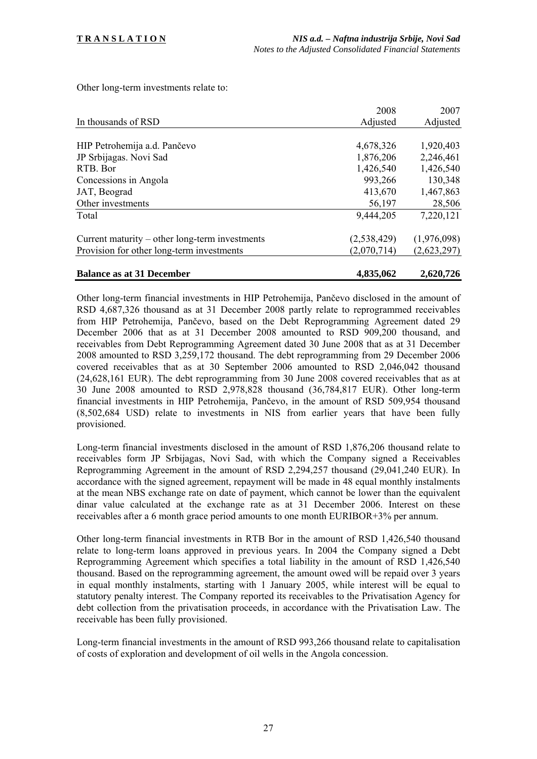Other long-term investments relate to:

|                                                | 2008          | 2007        |
|------------------------------------------------|---------------|-------------|
| In thousands of RSD                            | Adjusted      | Adjusted    |
|                                                |               |             |
| HIP Petrohemija a.d. Pančevo                   | 4,678,326     | 1,920,403   |
| JP Srbijagas. Novi Sad                         | 1,876,206     | 2,246,461   |
| RTB. Bor                                       | 1,426,540     | 1,426,540   |
| Concessions in Angola                          | 993,266       | 130,348     |
| JAT, Beograd                                   | 413,670       | 1,467,863   |
| Other investments                              | 56,197        | 28,506      |
| Total                                          | 9,444,205     | 7,220,121   |
| Current maturity – other long-term investments | (2, 538, 429) | (1,976,098) |
| Provision for other long-term investments      | (2,070,714)   | (2,623,297) |
| <b>Balance as at 31 December</b>               | 4,835,062     | 2,620,726   |

Other long-term financial investments in HIP Petrohemija, Pančevo disclosed in the amount of RSD 4,687,326 thousand as at 31 December 2008 partly relate to reprogrammed receivables from HIP Petrohemija, Pančevo, based on the Debt Reprogramming Agreement dated 29 December 2006 that as at 31 December 2008 amounted to RSD 909,200 thousand, and receivables from Debt Reprogramming Agreement dated 30 June 2008 that as at 31 December 2008 amounted to RSD 3,259,172 thousand. The debt reprogramming from 29 December 2006 covered receivables that as at 30 September 2006 amounted to RSD 2,046,042 thousand (24,628,161 EUR). The debt reprogramming from 30 June 2008 covered receivables that as at 30 June 2008 amounted to RSD 2,978,828 thousand (36,784,817 EUR). Other long-term financial investments in HIP Petrohemija, Pančevo, in the amount of RSD 509,954 thousand (8,502,684 USD) relate to investments in NIS from earlier years that have been fully provisioned.

Long-term financial investments disclosed in the amount of RSD 1,876,206 thousand relate to receivables form JP Srbijagas, Novi Sad, with which the Company signed a Receivables Reprogramming Agreement in the amount of RSD 2,294,257 thousand (29,041,240 EUR). In accordance with the signed agreement, repayment will be made in 48 equal monthly instalments at the mean NBS exchange rate on date of payment, which cannot be lower than the equivalent dinar value calculated at the exchange rate as at 31 December 2006. Interest on these receivables after a 6 month grace period amounts to one month EURIBOR+3% per annum.

Other long-term financial investments in RTB Bor in the amount of RSD 1,426,540 thousand relate to long-term loans approved in previous years. In 2004 the Company signed a Debt Reprogramming Agreement which specifies a total liability in the amount of RSD 1,426,540 thousand. Based on the reprogramming agreement, the amount owed will be repaid over 3 years in equal monthly instalments, starting with 1 January 2005, while interest will be equal to statutory penalty interest. The Company reported its receivables to the Privatisation Agency for debt collection from the privatisation proceeds, in accordance with the Privatisation Law. The receivable has been fully provisioned.

Long-term financial investments in the amount of RSD 993,266 thousand relate to capitalisation of costs of exploration and development of oil wells in the Angola concession.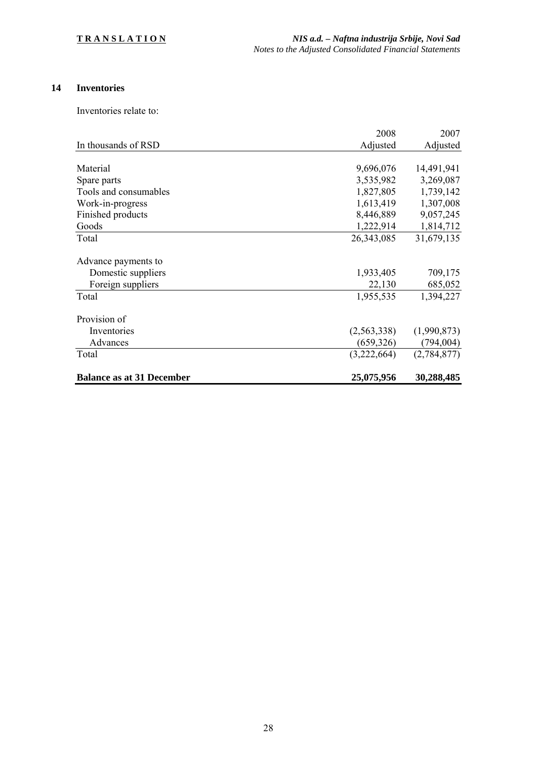# **14 Inventories**

Inventories relate to:

|                                  | 2008         | 2007        |
|----------------------------------|--------------|-------------|
| In thousands of RSD              | Adjusted     | Adjusted    |
|                                  |              |             |
| Material                         | 9,696,076    | 14,491,941  |
| Spare parts                      | 3,535,982    | 3,269,087   |
| Tools and consumables            | 1,827,805    | 1,739,142   |
| Work-in-progress                 | 1,613,419    | 1,307,008   |
| Finished products                | 8,446,889    | 9,057,245   |
| Goods                            | 1,222,914    | 1,814,712   |
| Total                            | 26, 343, 085 | 31,679,135  |
| Advance payments to              |              |             |
| Domestic suppliers               | 1,933,405    | 709,175     |
| Foreign suppliers                | 22,130       | 685,052     |
| Total                            | 1,955,535    | 1,394,227   |
| Provision of                     |              |             |
| Inventories                      | (2,563,338)  | (1,990,873) |
| Advances                         | (659, 326)   | (794, 004)  |
| Total                            | (3,222,664)  | (2,784,877) |
| <b>Balance as at 31 December</b> | 25,075,956   | 30,288,485  |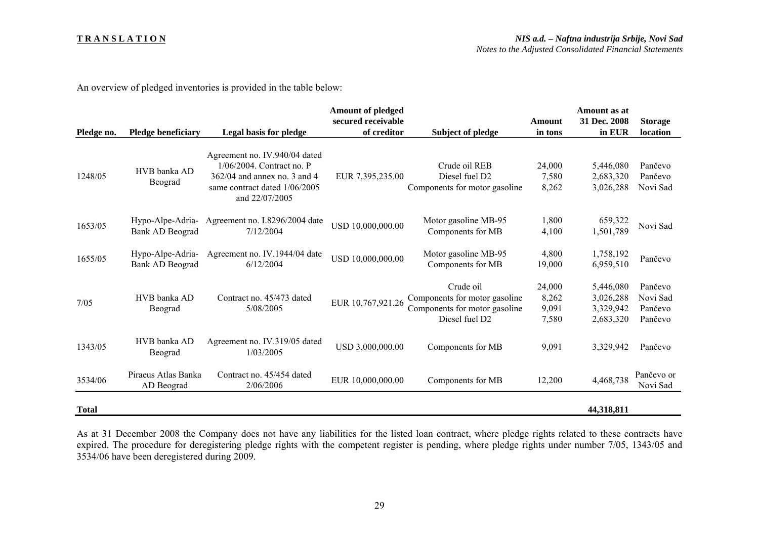#### **T R A N S L A T I O N**

An overview of pledged inventories is provided in the table below:

|              |                                   |                                                 | <b>Amount of pledged</b> |                               |         | Amount as at |                        |
|--------------|-----------------------------------|-------------------------------------------------|--------------------------|-------------------------------|---------|--------------|------------------------|
|              |                                   |                                                 | secured receivable       |                               | Amount  | 31 Dec. 2008 | <b>Storage</b>         |
| Pledge no.   | <b>Pledge beneficiary</b>         | Legal basis for pledge                          | of creditor              | Subject of pledge             | in tons | in EUR       | location               |
|              |                                   | Agreement no. IV.940/04 dated                   |                          |                               |         |              |                        |
|              | HVB banka AD                      | 1/06/2004. Contract no. P                       |                          | Crude oil REB                 | 24,000  | 5,446,080    | Pančevo                |
| 1248/05      | Beograd                           | $362/04$ and annex no. 3 and 4                  | EUR 7,395,235.00         | Diesel fuel D <sub>2</sub>    | 7,580   | 2,683,320    | Pančevo                |
|              |                                   | same contract dated 1/06/2005<br>and 22/07/2005 |                          | Components for motor gasoline | 8,262   | 3,026,288    | Novi Sad               |
| 1653/05      |                                   | Hypo-Alpe-Adria- Agreement no. I.8296/2004 date | USD 10,000,000.00        | Motor gasoline MB-95          | 1,800   | 659,322      | Novi Sad               |
|              | Bank AD Beograd                   | 7/12/2004                                       |                          | Components for MB             | 4,100   | 1,501,789    |                        |
|              | Hypo-Alpe-Adria-                  | Agreement no. IV.1944/04 date                   |                          | Motor gasoline MB-95          | 4,800   | 1,758,192    |                        |
| 1655/05      | Bank AD Beograd                   | 6/12/2004                                       | USD 10,000,000.00        | Components for MB             | 19,000  | 6,959,510    | Pančevo                |
|              |                                   |                                                 |                          | Crude oil                     | 24,000  | 5,446,080    | Pančevo                |
|              | HVB banka AD                      | Contract no. 45/473 dated                       |                          | Components for motor gasoline | 8,262   | 3,026,288    | Novi Sad               |
| 7/05         | Beograd                           | 5/08/2005                                       | EUR 10,767,921.26        | Components for motor gasoline | 9,091   | 3,329,942    | Pančevo                |
|              |                                   |                                                 |                          | Diesel fuel D <sub>2</sub>    | 7,580   | 2,683,320    | Pančevo                |
| 1343/05      | HVB banka AD<br>Beograd           | Agreement no. IV.319/05 dated<br>1/03/2005      | USD 3,000,000.00         | Components for MB             | 9,091   | 3,329,942    | Pančevo                |
| 3534/06      | Piraeus Atlas Banka<br>AD Beograd | Contract no. 45/454 dated<br>2/06/2006          | EUR 10,000,000.00        | Components for MB             | 12,200  | 4,468,738    | Pančevo or<br>Novi Sad |
| <b>Total</b> |                                   |                                                 |                          |                               |         | 44,318,811   |                        |

As at 31 December 2008 the Company does not have any liabilities for the listed loan contract, where pledge rights related to these contracts have expired. The procedure for deregistering pledge rights with the competent register is pending, where pledge rights under number 7/05, 1343/05 and 3534/06 have been deregistered during 2009.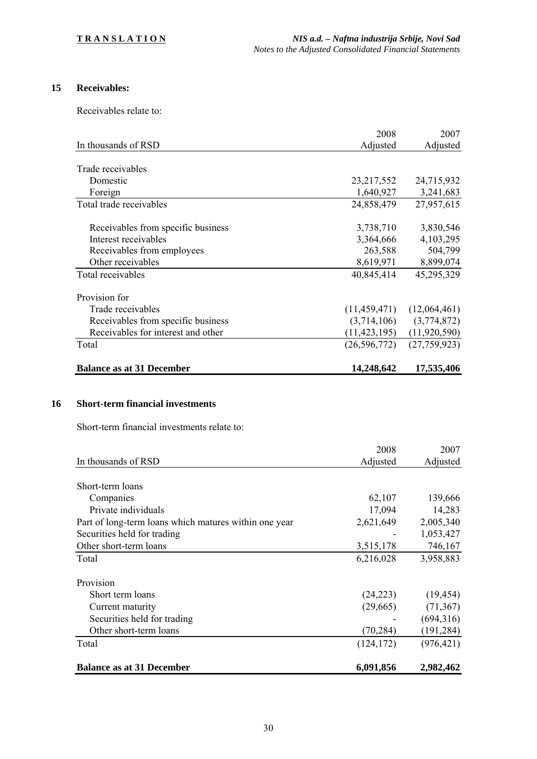# **15 Receivables:**

Receivables relate to:

|                                    | 2008           | 2007         |
|------------------------------------|----------------|--------------|
| In thousands of RSD                | Adjusted       | Adjusted     |
|                                    |                |              |
| Trade receivables                  |                |              |
| Domestic                           | 23, 217, 552   | 24,715,932   |
| Foreign                            | 1,640,927      | 3,241,683    |
| Total trade receivables            | 24,858,479     | 27,957,615   |
| Receivables from specific business | 3,738,710      | 3,830,546    |
| Interest receivables               | 3,364,666      | 4,103,295    |
| Receivables from employees         | 263,588        | 504,799      |
| Other receivables                  | 8,619,971      | 8,899,074    |
| Total receivables                  | 40,845,414     | 45,295,329   |
| Provision for                      |                |              |
| Trade receivables                  | (11, 459, 471) | (12,064,461) |
| Receivables from specific business | (3,714,106)    | (3,774,872)  |
| Receivables for interest and other | (11, 423, 195) | (11,920,590) |
| Total                              | (26, 596, 772) | (27,759,923) |
| <b>Balance as at 31 December</b>   | 14,248,642     | 17,535,406   |

#### **16 Short-term financial investments**

Short-term financial investments relate to:

|                                                       | 2008       | 2007       |
|-------------------------------------------------------|------------|------------|
| In thousands of RSD                                   | Adjusted   | Adjusted   |
|                                                       |            |            |
| Short-term loans                                      |            |            |
| Companies                                             | 62,107     | 139,666    |
| Private individuals                                   | 17,094     | 14,283     |
| Part of long-term loans which matures within one year | 2,621,649  | 2,005,340  |
| Securities held for trading                           |            | 1,053,427  |
| Other short-term loans                                | 3,515,178  | 746,167    |
| Total                                                 | 6,216,028  | 3,958,883  |
| Provision                                             |            |            |
| Short term loans                                      | (24,223)   | (19, 454)  |
| Current maturity                                      | (29,665)   | (71, 367)  |
| Securities held for trading                           |            | (694,316)  |
| Other short-term loans                                | (70, 284)  | (191, 284) |
| Total                                                 | (124, 172) | (976, 421) |
| <b>Balance as at 31 December</b>                      | 6,091,856  | 2,982,462  |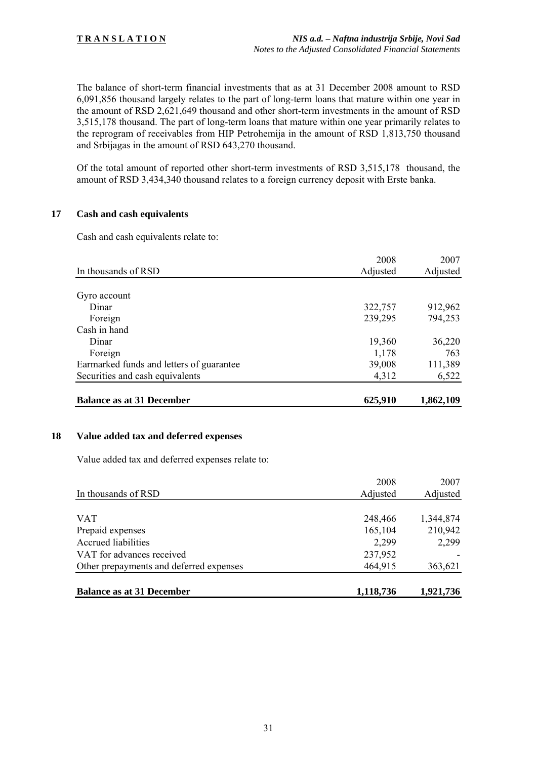The balance of short-term financial investments that as at 31 December 2008 amount to RSD 6,091,856 thousand largely relates to the part of long-term loans that mature within one year in the amount of RSD 2,621,649 thousand and other short-term investments in the amount of RSD 3,515,178 thousand. The part of long-term loans that mature within one year primarily relates to the reprogram of receivables from HIP Petrohemija in the amount of RSD 1,813,750 thousand and Srbijagas in the amount of RSD 643,270 thousand.

Of the total amount of reported other short-term investments of RSD 3,515,178 thousand, the amount of RSD 3,434,340 thousand relates to a foreign currency deposit with Erste banka.

#### **17 Cash and cash equivalents**

Cash and cash equivalents relate to:

|                                          | 2008     | 2007      |
|------------------------------------------|----------|-----------|
| In thousands of RSD                      | Adjusted | Adjusted  |
|                                          |          |           |
| Gyro account                             |          |           |
| Dinar                                    | 322,757  | 912,962   |
| Foreign                                  | 239,295  | 794,253   |
| Cash in hand                             |          |           |
| Dinar                                    | 19,360   | 36,220    |
| Foreign                                  | 1,178    | 763       |
| Earmarked funds and letters of guarantee | 39,008   | 111,389   |
| Securities and cash equivalents          | 4,312    | 6,522     |
| <b>Balance as at 31 December</b>         | 625,910  | 1,862,109 |

#### **18 Value added tax and deferred expenses**

Value added tax and deferred expenses relate to:

|                                         | 2008      | 2007      |
|-----------------------------------------|-----------|-----------|
| In thousands of RSD                     | Adjusted  | Adjusted  |
|                                         |           |           |
| <b>VAT</b>                              | 248,466   | 1,344,874 |
| Prepaid expenses                        | 165,104   | 210,942   |
| <b>Accrued liabilities</b>              | 2,299     | 2,299     |
| VAT for advances received               | 237,952   |           |
| Other prepayments and deferred expenses | 464,915   | 363,621   |
|                                         |           |           |
| <b>Balance as at 31 December</b>        | 1,118,736 | 1,921,736 |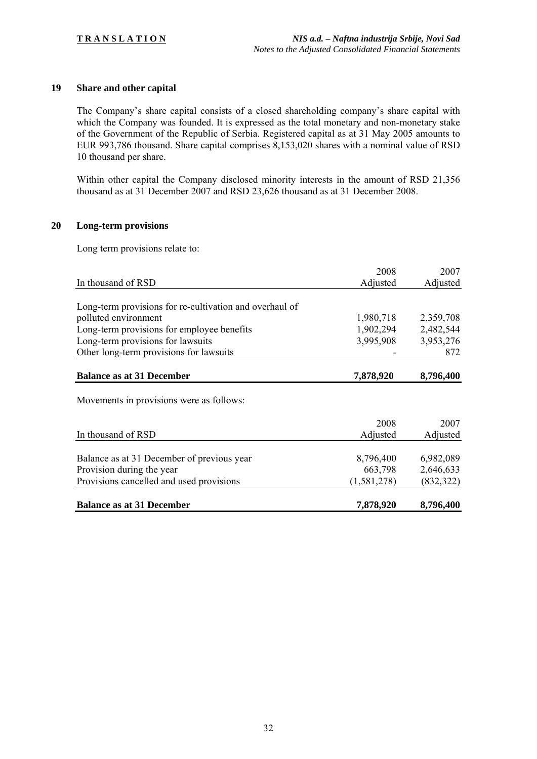### **19 Share and other capital**

The Company's share capital consists of a closed shareholding company's share capital with which the Company was founded. It is expressed as the total monetary and non-monetary stake of the Government of the Republic of Serbia. Registered capital as at 31 May 2005 amounts to EUR 993,786 thousand. Share capital comprises 8,153,020 shares with a nominal value of RSD 10 thousand per share.

Within other capital the Company disclosed minority interests in the amount of RSD 21,356 thousand as at 31 December 2007 and RSD 23,626 thousand as at 31 December 2008.

#### **20 Long-term provisions**

Long term provisions relate to:

|                                                         | 2008        | 2007       |
|---------------------------------------------------------|-------------|------------|
| In thousand of RSD                                      | Adjusted    | Adjusted   |
|                                                         |             |            |
| Long-term provisions for re-cultivation and overhaul of |             |            |
| polluted environment                                    | 1,980,718   | 2,359,708  |
| Long-term provisions for employee benefits              | 1,902,294   | 2,482,544  |
| Long-term provisions for lawsuits                       | 3,995,908   | 3,953,276  |
| Other long-term provisions for lawsuits                 |             | 872        |
| <b>Balance as at 31 December</b>                        | 7,878,920   | 8,796,400  |
|                                                         |             |            |
| Movements in provisions were as follows:                |             |            |
|                                                         | 2008        | 2007       |
| In thousand of RSD                                      | Adjusted    | Adjusted   |
|                                                         |             |            |
| Balance as at 31 December of previous year              | 8,796,400   | 6,982,089  |
| Provision during the year                               | 663,798     | 2,646,633  |
| Provisions cancelled and used provisions                | (1,581,278) | (832, 322) |
| <b>Balance as at 31 December</b>                        | 7,878,920   | 8,796,400  |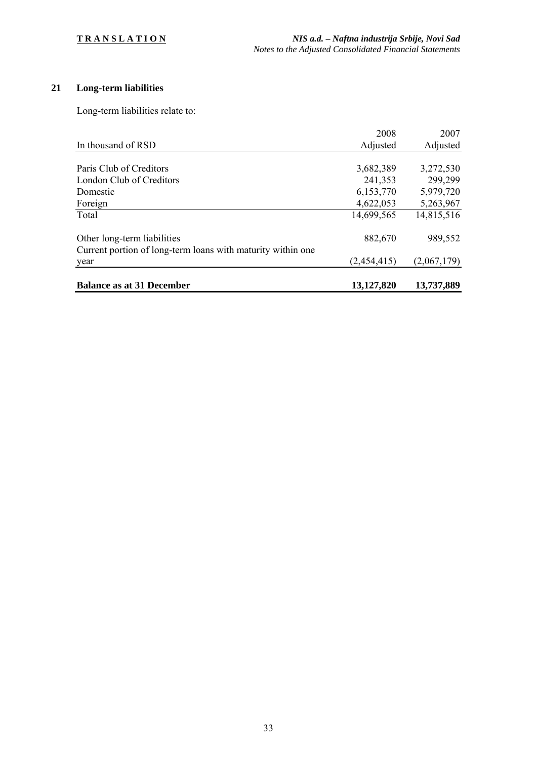# **21 Long-term liabilities**

Long-term liabilities relate to:

|                                                             | 2008        | 2007        |
|-------------------------------------------------------------|-------------|-------------|
| In thousand of RSD                                          | Adjusted    | Adjusted    |
|                                                             |             |             |
| Paris Club of Creditors                                     | 3,682,389   | 3,272,530   |
| London Club of Creditors                                    | 241,353     | 299,299     |
| Domestic                                                    | 6,153,770   | 5,979,720   |
| Foreign                                                     | 4,622,053   | 5,263,967   |
| Total                                                       | 14,699,565  | 14,815,516  |
| Other long-term liabilities                                 | 882,670     | 989,552     |
| Current portion of long-term loans with maturity within one |             |             |
| year                                                        | (2,454,415) | (2,067,179) |
| <b>Balance as at 31 December</b>                            | 13,127,820  | 13,737,889  |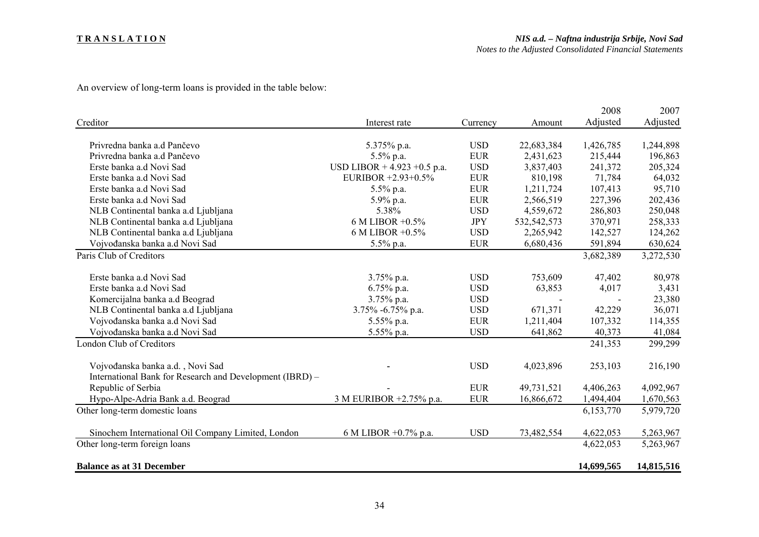#### **T R A N S L A T I O N**

An overview of long-term loans is provided in the table below:

|                                                          |                                |            |             | 2008       | 2007       |
|----------------------------------------------------------|--------------------------------|------------|-------------|------------|------------|
| Creditor                                                 | Interest rate                  | Currency   | Amount      | Adjusted   | Adjusted   |
|                                                          |                                |            |             |            |            |
| Privredna banka a.d Pančevo                              | 5.375% p.a.                    | <b>USD</b> | 22,683,384  | 1,426,785  | 1,244,898  |
| Privredna banka a.d Pančevo                              | 5.5% p.a.                      | <b>EUR</b> | 2,431,623   | 215,444    | 196,863    |
| Erste banka a.d Novi Sad                                 | USD LIBOR + $4.923 + 0.5$ p.a. | <b>USD</b> | 3,837,403   | 241,372    | 205,324    |
| Erste banka a.d Novi Sad                                 | EURIBOR +2.93+0.5%             | <b>EUR</b> | 810,198     | 71,784     | 64,032     |
| Erste banka a.d Novi Sad                                 | 5.5% p.a.                      | <b>EUR</b> | 1,211,724   | 107,413    | 95,710     |
| Erste banka a.d Novi Sad                                 | 5.9% p.a.                      | <b>EUR</b> | 2,566,519   | 227,396    | 202,436    |
| NLB Continental banka a.d Ljubljana                      | 5.38%                          | <b>USD</b> | 4,559,672   | 286,803    | 250,048    |
| NLB Continental banka a.d Ljubljana                      | $6$ M LIBOR $+0.5\%$           | <b>JPY</b> | 532,542,573 | 370,971    | 258,333    |
| NLB Continental banka a.d Ljubljana                      | 6 M LIBOR +0.5%                | <b>USD</b> | 2,265,942   | 142,527    | 124,262    |
| Vojvođanska banka a.d Novi Sad                           | 5.5% p.a.                      | <b>EUR</b> | 6,680,436   | 591,894    | 630,624    |
| Paris Club of Creditors                                  |                                |            |             | 3,682,389  | 3,272,530  |
| Erste banka a.d Novi Sad                                 | 3.75% p.a.                     | <b>USD</b> | 753,609     | 47,402     | 80,978     |
| Erste banka a.d Novi Sad                                 | $6.75\%$ p.a.                  | <b>USD</b> | 63,853      | 4,017      | 3,431      |
| Komercijalna banka a.d Beograd                           | $3.75\%$ p.a.                  | <b>USD</b> |             |            | 23,380     |
| NLB Continental banka a.d Ljubljana                      | 3.75% -6.75% p.a.              | <b>USD</b> | 671,371     | 42,229     | 36,071     |
| Vojvođanska banka a.d Novi Sad                           | 5.55% p.a.                     | <b>EUR</b> | 1,211,404   | 107,332    | 114,355    |
| Vojvođanska banka a.d Novi Sad                           | 5.55% p.a.                     | <b>USD</b> | 641,862     | 40,373     | 41,084     |
| London Club of Creditors                                 |                                |            |             | 241,353    | 299,299    |
|                                                          |                                |            |             |            |            |
| Vojvođanska banka a.d., Novi Sad                         |                                | <b>USD</b> | 4,023,896   | 253,103    | 216,190    |
| International Bank for Research and Development (IBRD) - |                                |            |             |            |            |
| Republic of Serbia                                       |                                | <b>EUR</b> | 49,731,521  | 4,406,263  | 4,092,967  |
| Hypo-Alpe-Adria Bank a.d. Beograd                        | 3 M EURIBOR +2.75% p.a.        | <b>EUR</b> | 16,866,672  | 1,494,404  | 1,670,563  |
| Other long-term domestic loans                           |                                |            |             | 6,153,770  | 5,979,720  |
| Sinochem International Oil Company Limited, London       | 6 M LIBOR +0.7% p.a.           | <b>USD</b> | 73,482,554  | 4,622,053  | 5,263,967  |
| Other long-term foreign loans                            |                                |            |             | 4,622,053  | 5,263,967  |
|                                                          |                                |            |             |            |            |
| <b>Balance as at 31 December</b>                         |                                |            |             | 14,699,565 | 14,815,516 |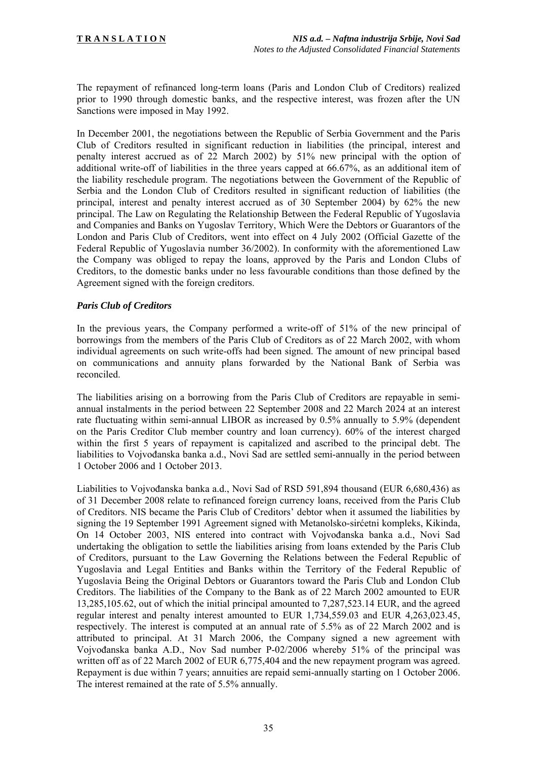The repayment of refinanced long-term loans (Paris and London Club of Creditors) realized prior to 1990 through domestic banks, and the respective interest, was frozen after the UN Sanctions were imposed in May 1992.

In December 2001, the negotiations between the Republic of Serbia Government and the Paris Club of Creditors resulted in significant reduction in liabilities (the principal, interest and penalty interest accrued as of 22 March 2002) by 51% new principal with the option of additional write-off of liabilities in the three years capped at 66.67%, as an additional item of the liability reschedule program. The negotiations between the Government of the Republic of Serbia and the London Club of Creditors resulted in significant reduction of liabilities (the principal, interest and penalty interest accrued as of 30 September 2004) by 62% the new principal. The Law on Regulating the Relationship Between the Federal Republic of Yugoslavia and Companies and Banks on Yugoslav Territory, Which Were the Debtors or Guarantors of the London and Paris Club of Creditors, went into effect on 4 July 2002 (Official Gazette of the Federal Republic of Yugoslavia number 36/2002). In conformity with the aforementioned Law the Company was obliged to repay the loans, approved by the Paris and London Clubs of Creditors, to the domestic banks under no less favourable conditions than those defined by the Agreement signed with the foreign creditors.

#### *Paris Club of Creditors*

In the previous years, the Company performed a write-off of 51% of the new principal of borrowings from the members of the Paris Club of Creditors as of 22 March 2002, with whom individual agreements on such write-offs had been signed. The amount of new principal based on communications and annuity plans forwarded by the National Bank of Serbia was reconciled.

The liabilities arising on a borrowing from the Paris Club of Creditors are repayable in semiannual instalments in the period between 22 September 2008 and 22 March 2024 at an interest rate fluctuating within semi-annual LIBOR as increased by 0.5% annually to 5.9% (dependent on the Paris Creditor Club member country and loan currency). 60% of the interest charged within the first 5 years of repayment is capitalized and ascribed to the principal debt. The liabilities to Vojvođanska banka a.d., Novi Sad are settled semi-annually in the period between 1 October 2006 and 1 October 2013.

Liabilities to Vojvođanska banka a.d., Novi Sad of RSD 591,894 thousand (EUR 6,680,436) as of 31 December 2008 relate to refinanced foreign currency loans, received from the Paris Club of Creditors. NIS became the Paris Club of Creditors' debtor when it assumed the liabilities by signing the 19 September 1991 Agreement signed with Metanolsko-sirćetni kompleks, Kikinda, On 14 October 2003, NIS entered into contract with Vojvođanska banka a.d., Novi Sad undertaking the obligation to settle the liabilities arising from loans extended by the Paris Club of Creditors, pursuant to the Law Governing the Relations between the Federal Republic of Yugoslavia and Legal Entities and Banks within the Territory of the Federal Republic of Yugoslavia Being the Original Debtors or Guarantors toward the Paris Club and London Club Creditors. The liabilities of the Company to the Bank as of 22 March 2002 amounted to EUR 13,285,105.62, out of which the initial principal amounted to 7,287,523.14 EUR, and the agreed regular interest and penalty interest amounted to EUR 1,734,559.03 and EUR 4,263,023.45, respectively. The interest is computed at an annual rate of 5.5% as of 22 March 2002 and is attributed to principal. At 31 March 2006, the Company signed a new agreement with Vojvođanska banka A.D., Nov Sad number P-02/2006 whereby 51% of the principal was written off as of 22 March 2002 of EUR 6,775,404 and the new repayment program was agreed. Repayment is due within 7 years; annuities are repaid semi-annually starting on 1 October 2006. The interest remained at the rate of 5.5% annually.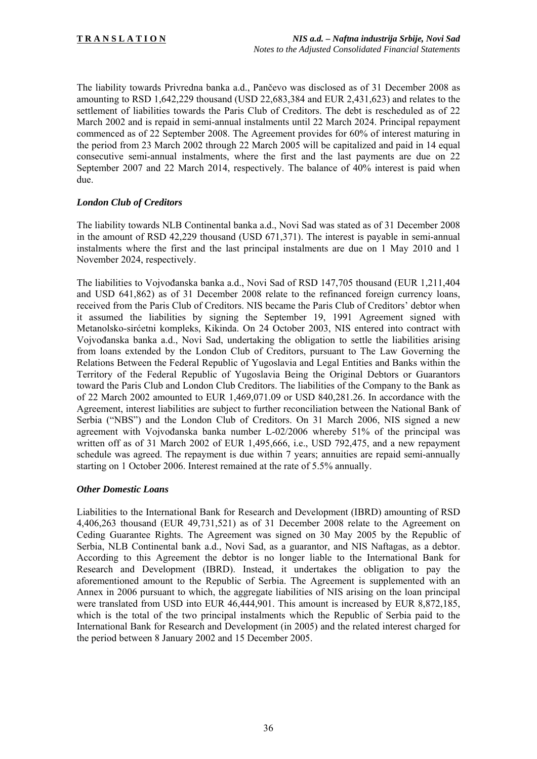The liability towards Privredna banka a.d., Pančevo was disclosed as of 31 December 2008 as amounting to RSD 1,642,229 thousand (USD 22,683,384 and EUR 2,431,623) and relates to the settlement of liabilities towards the Paris Club of Creditors. The debt is rescheduled as of 22 March 2002 and is repaid in semi-annual instalments until 22 March 2024. Principal repayment commenced as of 22 September 2008. The Agreement provides for 60% of interest maturing in the period from 23 March 2002 through 22 March 2005 will be capitalized and paid in 14 equal consecutive semi-annual instalments, where the first and the last payments are due on 22 September 2007 and 22 March 2014, respectively. The balance of 40% interest is paid when due.

#### *London Club of Creditors*

The liability towards NLB Continental banka a.d., Novi Sad was stated as of 31 December 2008 in the amount of RSD 42,229 thousand (USD 671,371). The interest is payable in semi-annual instalments where the first and the last principal instalments are due on 1 May 2010 and 1 November 2024, respectively.

The liabilities to Vojvođanska banka a.d., Novi Sad of RSD 147,705 thousand (EUR 1,211,404 and USD 641,862) as of 31 December 2008 relate to the refinanced foreign currency loans, received from the Paris Club of Creditors. NIS became the Paris Club of Creditors' debtor when it assumed the liabilities by signing the September 19, 1991 Agreement signed with Metanolsko-sirćetni kompleks, Kikinda. On 24 October 2003, NIS entered into contract with Vojvođanska banka a.d., Novi Sad, undertaking the obligation to settle the liabilities arising from loans extended by the London Club of Creditors, pursuant to The Law Governing the Relations Between the Federal Republic of Yugoslavia and Legal Entities and Banks within the Territory of the Federal Republic of Yugoslavia Being the Original Debtors or Guarantors toward the Paris Club and London Club Creditors. The liabilities of the Company to the Bank as of 22 March 2002 amounted to EUR 1,469,071.09 or USD 840,281.26. In accordance with the Agreement, interest liabilities are subject to further reconciliation between the National Bank of Serbia ("NBS") and the London Club of Creditors. On 31 March 2006, NIS signed a new agreement with Vojvođanska banka number L-02/2006 whereby 51% of the principal was written off as of 31 March 2002 of EUR 1,495,666, i.e., USD 792,475, and a new repayment schedule was agreed. The repayment is due within 7 years; annuities are repaid semi-annually starting on 1 October 2006. Interest remained at the rate of 5.5% annually.

#### *Other Domestic Loans*

Liabilities to the International Bank for Research and Development (IBRD) amounting of RSD 4,406,263 thousand (EUR 49,731,521) as of 31 December 2008 relate to the Agreement on Ceding Guarantee Rights. The Agreement was signed on 30 May 2005 by the Republic of Serbia, NLB Continental bank a.d., Novi Sad, as a guarantor, and NIS Naftagas, as a debtor. According to this Agreement the debtor is no longer liable to the International Bank for Research and Development (IBRD). Instead, it undertakes the obligation to pay the aforementioned amount to the Republic of Serbia. The Agreement is supplemented with an Annex in 2006 pursuant to which, the aggregate liabilities of NIS arising on the loan principal were translated from USD into EUR 46,444,901. This amount is increased by EUR 8,872,185, which is the total of the two principal instalments which the Republic of Serbia paid to the International Bank for Research and Development (in 2005) and the related interest charged for the period between 8 January 2002 and 15 December 2005.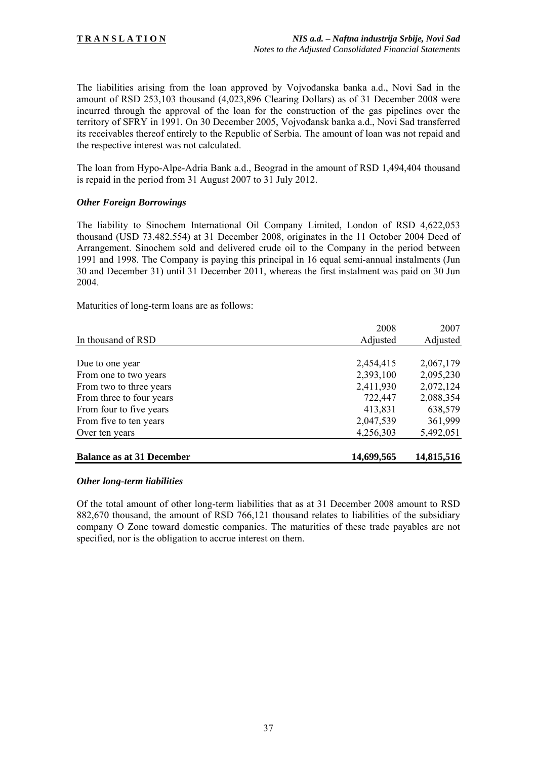The liabilities arising from the loan approved by Vojvođanska banka a.d., Novi Sad in the amount of RSD 253,103 thousand (4,023,896 Clearing Dollars) as of 31 December 2008 were incurred through the approval of the loan for the construction of the gas pipelines over the territory of SFRY in 1991. On 30 December 2005, Vojvođansk banka a.d., Novi Sad transferred its receivables thereof entirely to the Republic of Serbia. The amount of loan was not repaid and the respective interest was not calculated.

The loan from Hypo-Alpe-Adria Bank a.d., Beograd in the amount of RSD 1,494,404 thousand is repaid in the period from 31 August 2007 to 31 July 2012.

#### *Other Foreign Borrowings*

The liability to Sinochem International Oil Company Limited, London of RSD 4,622,053 thousand (USD 73.482.554) at 31 December 2008, originates in the 11 October 2004 Deed of Arrangement. Sinochem sold and delivered crude oil to the Company in the period between 1991 and 1998. The Company is paying this principal in 16 equal semi-annual instalments (Jun 30 and December 31) until 31 December 2011, whereas the first instalment was paid on 30 Jun 2004.

Maturities of long-term loans are as follows:

|                                  | 2008       | 2007       |
|----------------------------------|------------|------------|
| In thousand of RSD               | Adjusted   | Adjusted   |
|                                  |            |            |
| Due to one year                  | 2,454,415  | 2,067,179  |
| From one to two years            | 2,393,100  | 2,095,230  |
| From two to three years          | 2,411,930  | 2,072,124  |
| From three to four years         | 722,447    | 2,088,354  |
| From four to five years          | 413,831    | 638,579    |
| From five to ten years           | 2,047,539  | 361,999    |
| Over ten years                   | 4,256,303  | 5,492,051  |
|                                  |            |            |
| <b>Balance as at 31 December</b> | 14,699,565 | 14,815,516 |

#### *Other long-term liabilities*

Of the total amount of other long-term liabilities that as at 31 December 2008 amount to RSD 882,670 thousand, the amount of RSD 766,121 thousand relates to liabilities of the subsidiary company O Zone toward domestic companies. The maturities of these trade payables are not specified, nor is the obligation to accrue interest on them.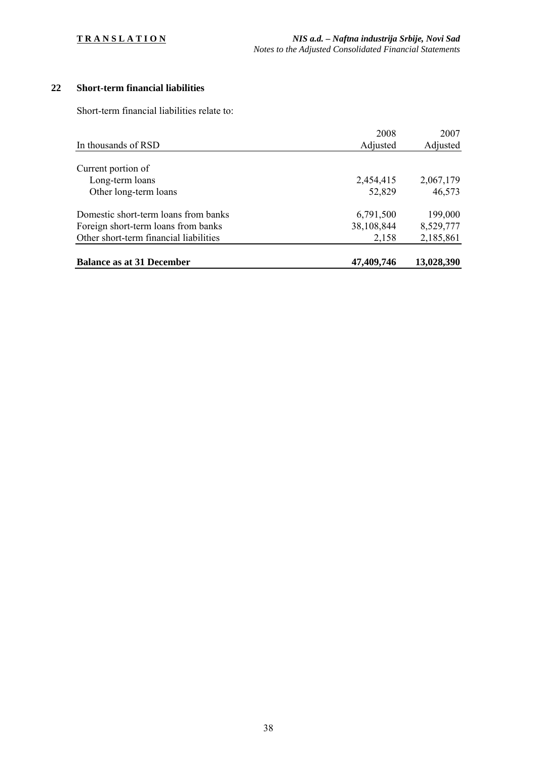# **22 Short-term financial liabilities**

Short-term financial liabilities relate to:

|                                        | 2008       | 2007       |
|----------------------------------------|------------|------------|
| In thousands of RSD                    | Adjusted   | Adjusted   |
|                                        |            |            |
| Current portion of                     |            |            |
| Long-term loans                        | 2,454,415  | 2,067,179  |
| Other long-term loans                  | 52,829     | 46,573     |
| Domestic short-term loans from banks   | 6,791,500  | 199,000    |
| Foreign short-term loans from banks    | 38,108,844 | 8,529,777  |
| Other short-term financial liabilities | 2,158      | 2,185,861  |
| <b>Balance as at 31 December</b>       | 47,409,746 | 13,028,390 |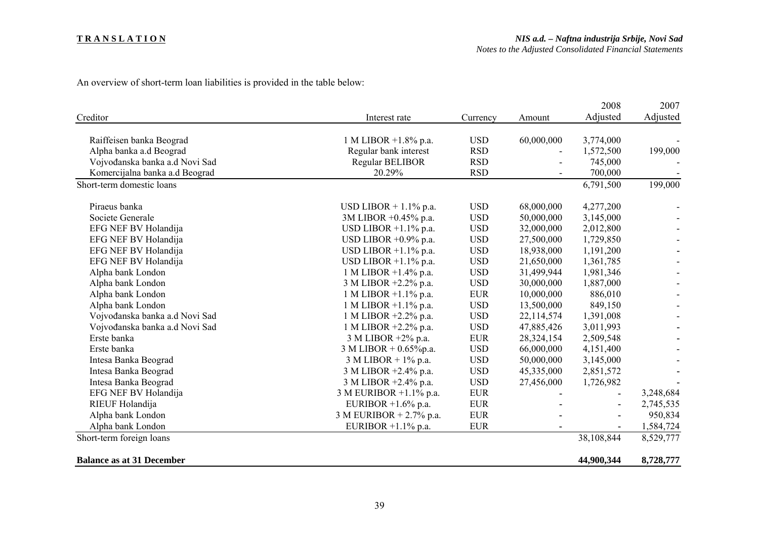#### **T R A N S L A T I O N**

An overview of short-term loan liabilities is provided in the table below:

|                                  |                            |            |            | 2008       | 2007      |
|----------------------------------|----------------------------|------------|------------|------------|-----------|
| Creditor                         | Interest rate              | Currency   | Amount     | Adjusted   | Adjusted  |
| Raiffeisen banka Beograd         | 1 M LIBOR +1.8% p.a.       | <b>USD</b> | 60,000,000 | 3,774,000  |           |
| Alpha banka a.d Beograd          | Regular bank interest      | <b>RSD</b> |            | 1,572,500  | 199,000   |
| Vojvođanska banka a.d Novi Sad   | <b>Regular BELIBOR</b>     | <b>RSD</b> |            | 745,000    |           |
| Komercijalna banka a.d Beograd   | 20.29%                     | <b>RSD</b> |            | 700,000    |           |
| Short-term domestic loans        |                            |            |            | 6,791,500  | 199,000   |
| Piraeus banka                    | USD LIBOR $+1.1\%$ p.a.    | <b>USD</b> | 68,000,000 | 4,277,200  |           |
| Societe Generale                 | 3M LIBOR +0.45% p.a.       | <b>USD</b> | 50,000,000 | 3,145,000  |           |
| EFG NEF BV Holandija             | USD LIBOR $+1.1\%$ p.a.    | <b>USD</b> | 32,000,000 | 2,012,800  |           |
| EFG NEF BV Holandija             | USD LIBOR $+0.9\%$ p.a.    | <b>USD</b> | 27,500,000 | 1,729,850  |           |
| EFG NEF BV Holandija             | USD LIBOR $+1.1\%$ p.a.    | <b>USD</b> | 18,938,000 | 1,191,200  |           |
| EFG NEF BV Holandija             | USD LIBOR $+1.1\%$ p.a.    | <b>USD</b> | 21,650,000 | 1,361,785  |           |
| Alpha bank London                | 1 M LIBOR $+1.4\%$ p.a.    | <b>USD</b> | 31,499,944 | 1,981,346  |           |
| Alpha bank London                | 3 M LIBOR +2.2% p.a.       | <b>USD</b> | 30,000,000 | 1,887,000  |           |
| Alpha bank London                | 1 M LIBOR $+1.1\%$ p.a.    | <b>EUR</b> | 10,000,000 | 886,010    |           |
| Alpha bank London                | 1 M LIBOR +1.1% p.a.       | <b>USD</b> | 13,500,000 | 849,150    |           |
| Vojvođanska banka a.d Novi Sad   | 1 M LIBOR $+2.2\%$ p.a.    | <b>USD</b> | 22,114,574 | 1,391,008  |           |
| Vojvođanska banka a.d Novi Sad   | 1 M LIBOR +2.2% p.a.       | <b>USD</b> | 47,885,426 | 3,011,993  |           |
| Erste banka                      | 3 M LIBOR +2% p.a.         | <b>EUR</b> | 28,324,154 | 2,509,548  |           |
| Erste banka                      | 3 M LIBOR + $0.65\%$ p.a.  | <b>USD</b> | 66,000,000 | 4,151,400  |           |
| Intesa Banka Beograd             | $3$ M LIBOR + $1\%$ p.a.   | <b>USD</b> | 50,000,000 | 3,145,000  |           |
| Intesa Banka Beograd             | 3 M LIBOR +2.4% p.a.       | <b>USD</b> | 45,335,000 | 2,851,572  |           |
| Intesa Banka Beograd             | 3 M LIBOR +2.4% p.a.       | <b>USD</b> | 27,456,000 | 1,726,982  |           |
| EFG NEF BV Holandija             | 3 M EURIBOR +1.1% p.a.     | <b>EUR</b> |            |            | 3,248,684 |
| RIEUF Holandija                  | EURIBOR $+1.6\%$ p.a.      | <b>EUR</b> |            |            | 2,745,535 |
| Alpha bank London                | 3 M EURIBOR + $2.7\%$ p.a. | <b>EUR</b> |            |            | 950,834   |
| Alpha bank London                | EURIBOR $+1.1\%$ p.a.      | <b>EUR</b> |            |            | 1,584,724 |
| Short-term foreign loans         |                            |            |            | 38,108,844 | 8,529,777 |
| <b>Balance as at 31 December</b> |                            |            |            | 44,900,344 | 8,728,777 |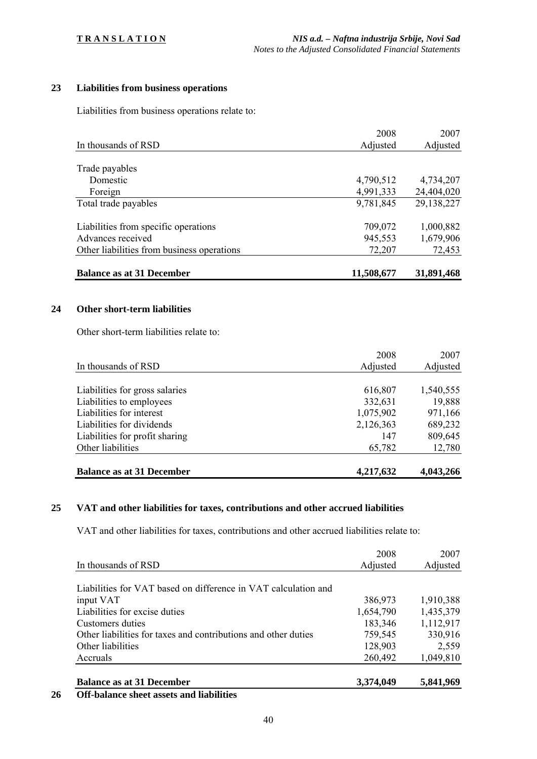# **23 Liabilities from business operations**

Liabilities from business operations relate to:

| <b>Balance as at 31 December</b>           | 11,508,677 | 31,891,468 |
|--------------------------------------------|------------|------------|
| Other liabilities from business operations | 72,207     | 72,453     |
| Advances received                          | 945,553    | 1,679,906  |
| Liabilities from specific operations       | 709,072    | 1,000,882  |
| Total trade payables                       | 9,781,845  | 29,138,227 |
| Foreign                                    | 4,991,333  | 24,404,020 |
| Domestic                                   | 4,790,512  | 4,734,207  |
| Trade payables                             |            |            |
|                                            |            |            |
| In thousands of RSD                        | Adjusted   | Adjusted   |
|                                            | 2008       | 2007       |

#### **24 Other short-term liabilities**

Other short-term liabilities relate to:

|                                  | 2008      | 2007      |
|----------------------------------|-----------|-----------|
| In thousands of RSD              | Adjusted  | Adjusted  |
|                                  |           |           |
| Liabilities for gross salaries   | 616,807   | 1,540,555 |
| Liabilities to employees         | 332,631   | 19,888    |
| Liabilities for interest         | 1,075,902 | 971,166   |
| Liabilities for dividends        | 2,126,363 | 689,232   |
| Liabilities for profit sharing   | 147       | 809,645   |
| Other liabilities                | 65,782    | 12,780    |
| <b>Balance as at 31 December</b> | 4,217,632 | 4,043,266 |

#### **25 VAT and other liabilities for taxes, contributions and other accrued liabilities**

VAT and other liabilities for taxes, contributions and other accrued liabilities relate to:

|                                                                | 2008      | 2007      |
|----------------------------------------------------------------|-----------|-----------|
| In thousands of RSD                                            | Adjusted  | Adjusted  |
|                                                                |           |           |
| Liabilities for VAT based on difference in VAT calculation and |           |           |
| input VAT                                                      | 386,973   | 1,910,388 |
| Liabilities for excise duties                                  | 1,654,790 | 1,435,379 |
| Customers duties                                               | 183,346   | 1,112,917 |
| Other liabilities for taxes and contributions and other duties | 759,545   | 330,916   |
| Other liabilities                                              | 128,903   | 2,559     |
| Accruals                                                       | 260,492   | 1,049,810 |
|                                                                |           |           |
| <b>Balance as at 31 December</b>                               | 3,374,049 | 5,841,969 |

#### **26 Off-balance sheet assets and liabilities**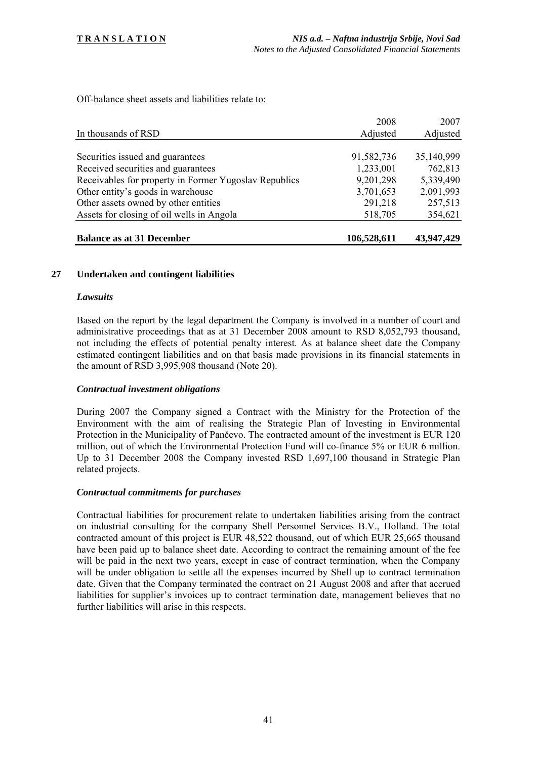Off-balance sheet assets and liabilities relate to:

| In thousands of RSD                                   | Adjusted    | Adjusted   |
|-------------------------------------------------------|-------------|------------|
|                                                       |             |            |
| Securities issued and guarantees                      | 91,582,736  | 35,140,999 |
| Received securities and guarantees                    | 1,233,001   | 762,813    |
| Receivables for property in Former Yugoslav Republics | 9,201,298   | 5,339,490  |
| Other entity's goods in warehouse                     | 3,701,653   | 2,091,993  |
| Other assets owned by other entities                  | 291,218     | 257,513    |
| Assets for closing of oil wells in Angola             | 518,705     | 354,621    |
|                                                       |             |            |
| <b>Balance as at 31 December</b>                      | 106,528,611 | 43,947,429 |

#### **27 Undertaken and contingent liabilities**

#### *Lawsuits*

Based on the report by the legal department the Company is involved in a number of court and administrative proceedings that as at 31 December 2008 amount to RSD 8,052,793 thousand, not including the effects of potential penalty interest. As at balance sheet date the Company estimated contingent liabilities and on that basis made provisions in its financial statements in the amount of RSD 3,995,908 thousand (Note 20).

#### *Contractual investment obligations*

During 2007 the Company signed a Contract with the Ministry for the Protection of the Environment with the aim of realising the Strategic Plan of Investing in Environmental Protection in the Municipality of Pančevo. The contracted amount of the investment is EUR 120 million, out of which the Environmental Protection Fund will co-finance 5% or EUR 6 million. Up to 31 December 2008 the Company invested RSD 1,697,100 thousand in Strategic Plan related projects.

#### *Contractual commitments for purchases*

Contractual liabilities for procurement relate to undertaken liabilities arising from the contract on industrial consulting for the company Shell Personnel Services B.V., Holland. The total contracted amount of this project is EUR 48,522 thousand, out of which EUR 25,665 thousand have been paid up to balance sheet date. According to contract the remaining amount of the fee will be paid in the next two years, except in case of contract termination, when the Company will be under obligation to settle all the expenses incurred by Shell up to contract termination date. Given that the Company terminated the contract on 21 August 2008 and after that accrued liabilities for supplier's invoices up to contract termination date, management believes that no further liabilities will arise in this respects.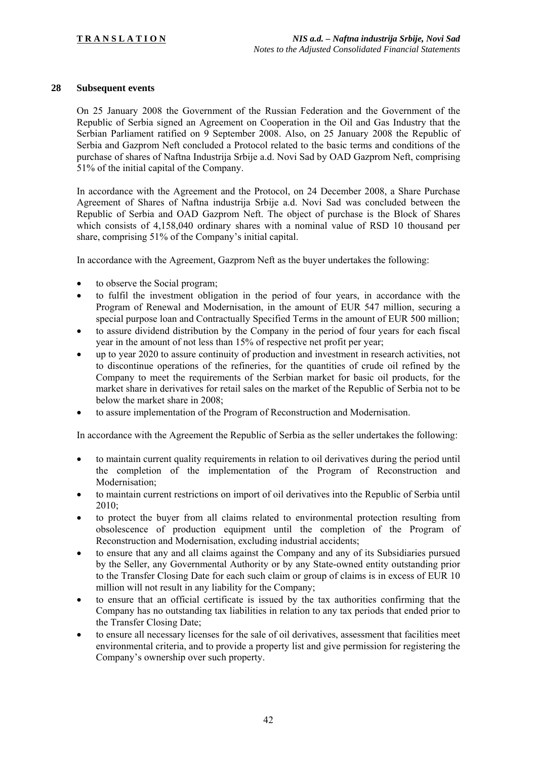#### **28 Subsequent events**

On 25 January 2008 the Government of the Russian Federation and the Government of the Republic of Serbia signed an Agreement on Cooperation in the Oil and Gas Industry that the Serbian Parliament ratified on 9 September 2008. Also, on 25 January 2008 the Republic of Serbia and Gazprom Neft concluded a Protocol related to the basic terms and conditions of the purchase of shares of Naftna Industrija Srbije a.d. Novi Sad by OAD Gazprom Neft, comprising 51% of the initial capital of the Company.

In accordance with the Agreement and the Protocol, on 24 December 2008, a Share Purchase Agreement of Shares of Naftna industrija Srbije a.d. Novi Sad was concluded between the Republic of Serbia and OAD Gazprom Neft. The object of purchase is the Block of Shares which consists of 4,158,040 ordinary shares with a nominal value of RSD 10 thousand per share, comprising 51% of the Company's initial capital.

In accordance with the Agreement, Gazprom Neft as the buyer undertakes the following:

- to observe the Social program;
- to fulfil the investment obligation in the period of four years, in accordance with the Program of Renewal and Modernisation, in the amount of EUR 547 million, securing a special purpose loan and Contractually Specified Terms in the amount of EUR 500 million;
- to assure dividend distribution by the Company in the period of four years for each fiscal year in the amount of not less than 15% of respective net profit per year;
- up to year 2020 to assure continuity of production and investment in research activities, not to discontinue operations of the refineries, for the quantities of crude oil refined by the Company to meet the requirements of the Serbian market for basic oil products, for the market share in derivatives for retail sales on the market of the Republic of Serbia not to be below the market share in 2008;
- to assure implementation of the Program of Reconstruction and Modernisation.

In accordance with the Agreement the Republic of Serbia as the seller undertakes the following:

- to maintain current quality requirements in relation to oil derivatives during the period until the completion of the implementation of the Program of Reconstruction and Modernisation;
- to maintain current restrictions on import of oil derivatives into the Republic of Serbia until 2010;
- to protect the buyer from all claims related to environmental protection resulting from obsolescence of production equipment until the completion of the Program of Reconstruction and Modernisation, excluding industrial accidents;
- to ensure that any and all claims against the Company and any of its Subsidiaries pursued by the Seller, any Governmental Authority or by any State-owned entity outstanding prior to the Transfer Closing Date for each such claim or group of claims is in excess of EUR 10 million will not result in any liability for the Company;
- to ensure that an official certificate is issued by the tax authorities confirming that the Company has no outstanding tax liabilities in relation to any tax periods that ended prior to the Transfer Closing Date;
- to ensure all necessary licenses for the sale of oil derivatives, assessment that facilities meet environmental criteria, and to provide a property list and give permission for registering the Company's ownership over such property.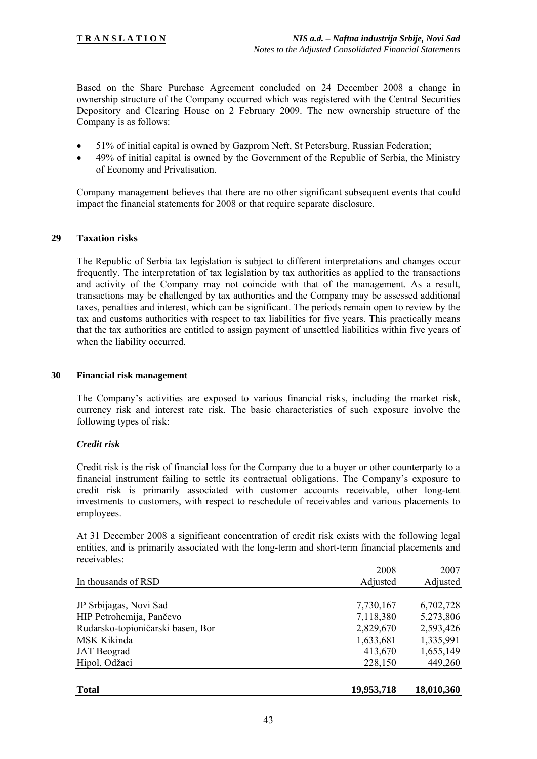Based on the Share Purchase Agreement concluded on 24 December 2008 a change in ownership structure of the Company occurred which was registered with the Central Securities Depository and Clearing House on 2 February 2009. The new ownership structure of the Company is as follows:

- 51% of initial capital is owned by Gazprom Neft, St Petersburg, Russian Federation;
- 49% of initial capital is owned by the Government of the Republic of Serbia, the Ministry of Economy and Privatisation.

Company management believes that there are no other significant subsequent events that could impact the financial statements for 2008 or that require separate disclosure.

#### **29 Taxation risks**

The Republic of Serbia tax legislation is subject to different interpretations and changes occur frequently. The interpretation of tax legislation by tax authorities as applied to the transactions and activity of the Company may not coincide with that of the management. As a result, transactions may be challenged by tax authorities and the Company may be assessed additional taxes, penalties and interest, which can be significant. The periods remain open to review by the tax and customs authorities with respect to tax liabilities for five years. This practically means that the tax authorities are entitled to assign payment of unsettled liabilities within five years of when the liability occurred.

#### **30 Financial risk management**

The Company's activities are exposed to various financial risks, including the market risk, currency risk and interest rate risk. The basic characteristics of such exposure involve the following types of risk:

#### *Credit risk*

Credit risk is the risk of financial loss for the Company due to a buyer or other counterparty to a financial instrument failing to settle its contractual obligations. The Company's exposure to credit risk is primarily associated with customer accounts receivable, other long-tent investments to customers, with respect to reschedule of receivables and various placements to employees.

At 31 December 2008 a significant concentration of credit risk exists with the following legal entities, and is primarily associated with the long-term and short-term financial placements and receivables:

|                                   | 2008       | 2007       |
|-----------------------------------|------------|------------|
| In thousands of RSD               | Adjusted   | Adjusted   |
|                                   |            |            |
| JP Srbijagas, Novi Sad            | 7,730,167  | 6,702,728  |
| HIP Petrohemija, Pančevo          | 7,118,380  | 5,273,806  |
| Rudarsko-topioničarski basen, Bor | 2,829,670  | 2,593,426  |
| MSK Kikinda                       | 1,633,681  | 1,335,991  |
| <b>JAT</b> Beograd                | 413,670    | 1,655,149  |
| Hipol, Odžaci                     | 228,150    | 449,260    |
|                                   |            |            |
| <b>Total</b>                      | 19,953,718 | 18,010,360 |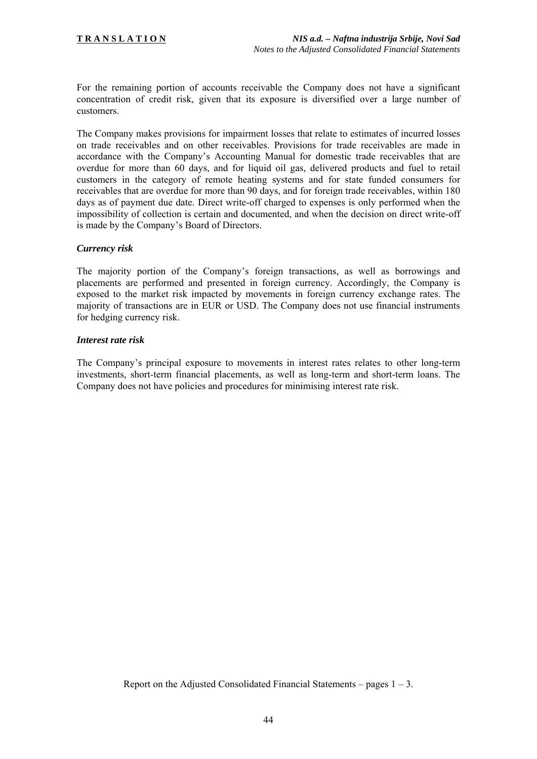For the remaining portion of accounts receivable the Company does not have a significant concentration of credit risk, given that its exposure is diversified over a large number of customers.

The Company makes provisions for impairment losses that relate to estimates of incurred losses on trade receivables and on other receivables. Provisions for trade receivables are made in accordance with the Company's Accounting Manual for domestic trade receivables that are overdue for more than 60 days, and for liquid oil gas, delivered products and fuel to retail customers in the category of remote heating systems and for state funded consumers for receivables that are overdue for more than 90 days, and for foreign trade receivables, within 180 days as of payment due date. Direct write-off charged to expenses is only performed when the impossibility of collection is certain and documented, and when the decision on direct write-off is made by the Company's Board of Directors.

#### *Currency risk*

The majority portion of the Company's foreign transactions, as well as borrowings and placements are performed and presented in foreign currency. Accordingly, the Company is exposed to the market risk impacted by movements in foreign currency exchange rates. The majority of transactions are in EUR or USD. The Company does not use financial instruments for hedging currency risk.

#### *Interest rate risk*

The Company's principal exposure to movements in interest rates relates to other long-term investments, short-term financial placements, as well as long-term and short-term loans. The Company does not have policies and procedures for minimising interest rate risk.